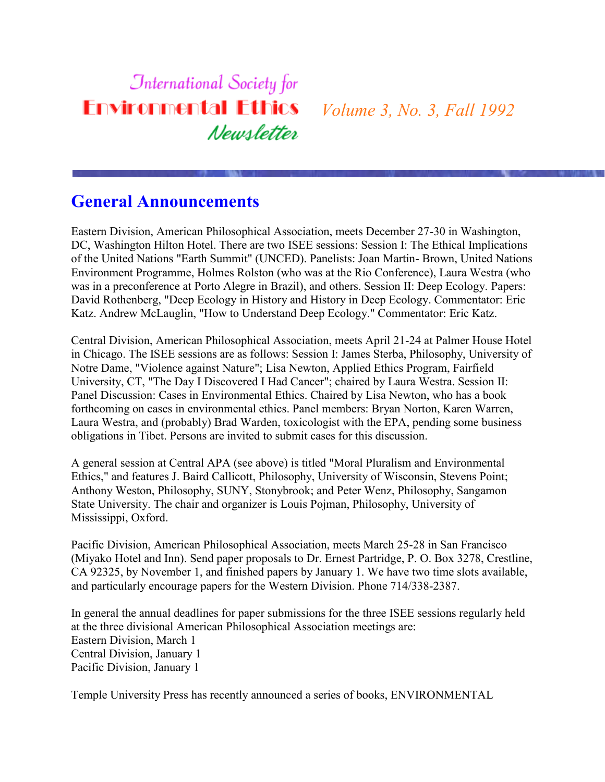## **International Society for Environmental Ethics** *Volume 3, No. 3, Fall 1992* Newsletter

#### **General Announcements**

Eastern Division, American Philosophical Association, meets December 27-30 in Washington, DC, Washington Hilton Hotel. There are two ISEE sessions: Session I: The Ethical Implications of the United Nations "Earth Summit" (UNCED). Panelists: Joan Martin- Brown, United Nations Environment Programme, Holmes Rolston (who was at the Rio Conference), Laura Westra (who was in a preconference at Porto Alegre in Brazil), and others. Session II: Deep Ecology. Papers: David Rothenberg, "Deep Ecology in History and History in Deep Ecology. Commentator: Eric Katz. Andrew McLauglin, "How to Understand Deep Ecology." Commentator: Eric Katz.

Central Division, American Philosophical Association, meets April 21-24 at Palmer House Hotel in Chicago. The ISEE sessions are as follows: Session I: James Sterba, Philosophy, University of Notre Dame, "Violence against Nature"; Lisa Newton, Applied Ethics Program, Fairfield University, CT, "The Day I Discovered I Had Cancer"; chaired by Laura Westra. Session II: Panel Discussion: Cases in Environmental Ethics. Chaired by Lisa Newton, who has a book forthcoming on cases in environmental ethics. Panel members: Bryan Norton, Karen Warren, Laura Westra, and (probably) Brad Warden, toxicologist with the EPA, pending some business obligations in Tibet. Persons are invited to submit cases for this discussion.

A general session at Central APA (see above) is titled "Moral Pluralism and Environmental Ethics," and features J. Baird Callicott, Philosophy, University of Wisconsin, Stevens Point; Anthony Weston, Philosophy, SUNY, Stonybrook; and Peter Wenz, Philosophy, Sangamon State University. The chair and organizer is Louis Pojman, Philosophy, University of Mississippi, Oxford.

Pacific Division, American Philosophical Association, meets March 25-28 in San Francisco (Miyako Hotel and Inn). Send paper proposals to Dr. Ernest Partridge, P. O. Box 3278, Crestline, CA 92325, by November 1, and finished papers by January 1. We have two time slots available, and particularly encourage papers for the Western Division. Phone 714/338-2387.

In general the annual deadlines for paper submissions for the three ISEE sessions regularly held at the three divisional American Philosophical Association meetings are: Eastern Division, March 1 Central Division, January 1 Pacific Division, January 1

Temple University Press has recently announced a series of books, ENVIRONMENTAL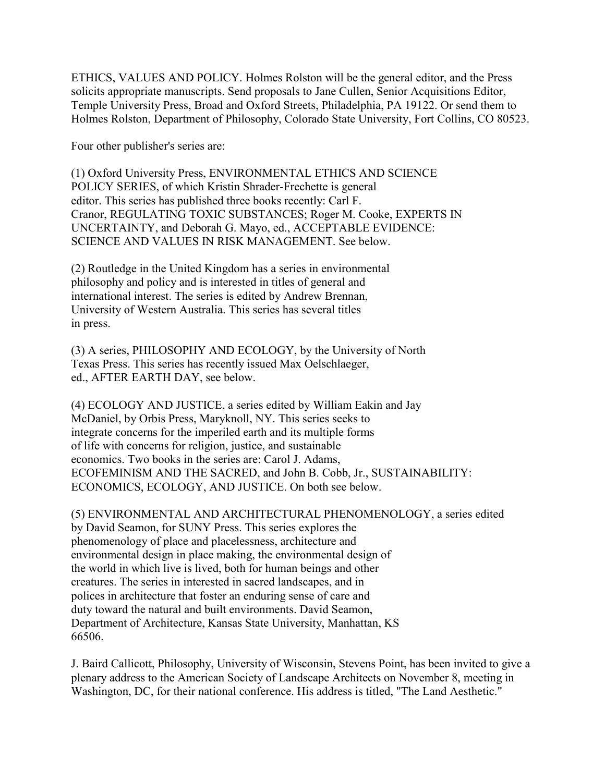ETHICS, VALUES AND POLICY. Holmes Rolston will be the general editor, and the Press solicits appropriate manuscripts. Send proposals to Jane Cullen, Senior Acquisitions Editor, Temple University Press, Broad and Oxford Streets, Philadelphia, PA 19122. Or send them to Holmes Rolston, Department of Philosophy, Colorado State University, Fort Collins, CO 80523.

Four other publisher's series are:

(1) Oxford University Press, ENVIRONMENTAL ETHICS AND SCIENCE POLICY SERIES, of which Kristin Shrader-Frechette is general editor. This series has published three books recently: Carl F. Cranor, REGULATING TOXIC SUBSTANCES; Roger M. Cooke, EXPERTS IN UNCERTAINTY, and Deborah G. Mayo, ed., ACCEPTABLE EVIDENCE: SCIENCE AND VALUES IN RISK MANAGEMENT. See below.

(2) Routledge in the United Kingdom has a series in environmental philosophy and policy and is interested in titles of general and international interest. The series is edited by Andrew Brennan, University of Western Australia. This series has several titles in press.

(3) A series, PHILOSOPHY AND ECOLOGY, by the University of North Texas Press. This series has recently issued Max Oelschlaeger, ed., AFTER EARTH DAY, see below.

(4) ECOLOGY AND JUSTICE, a series edited by William Eakin and Jay McDaniel, by Orbis Press, Maryknoll, NY. This series seeks to integrate concerns for the imperiled earth and its multiple forms of life with concerns for religion, justice, and sustainable economics. Two books in the series are: Carol J. Adams, ECOFEMINISM AND THE SACRED, and John B. Cobb, Jr., SUSTAINABILITY: ECONOMICS, ECOLOGY, AND JUSTICE. On both see below.

(5) ENVIRONMENTAL AND ARCHITECTURAL PHENOMENOLOGY, a series edited by David Seamon, for SUNY Press. This series explores the phenomenology of place and placelessness, architecture and environmental design in place making, the environmental design of the world in which live is lived, both for human beings and other creatures. The series in interested in sacred landscapes, and in polices in architecture that foster an enduring sense of care and duty toward the natural and built environments. David Seamon, Department of Architecture, Kansas State University, Manhattan, KS 66506.

J. Baird Callicott, Philosophy, University of Wisconsin, Stevens Point, has been invited to give a plenary address to the American Society of Landscape Architects on November 8, meeting in Washington, DC, for their national conference. His address is titled, "The Land Aesthetic."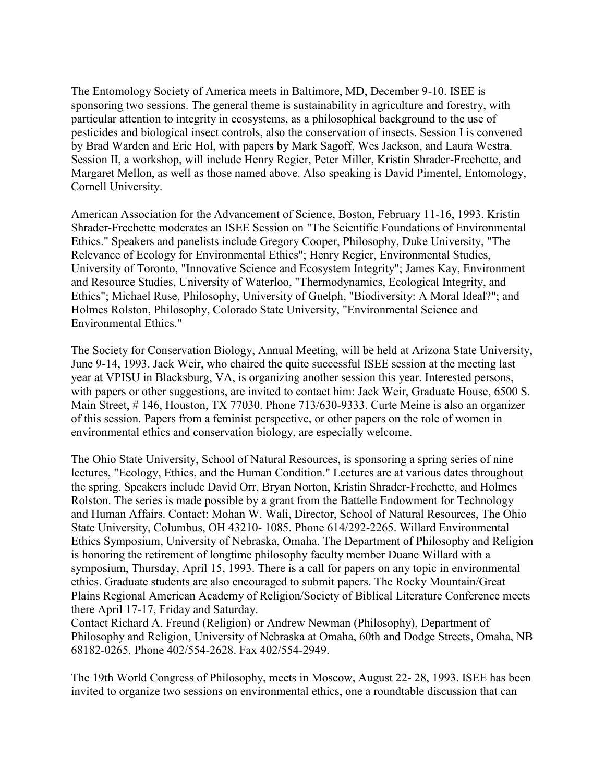The Entomology Society of America meets in Baltimore, MD, December 9-10. ISEE is sponsoring two sessions. The general theme is sustainability in agriculture and forestry, with particular attention to integrity in ecosystems, as a philosophical background to the use of pesticides and biological insect controls, also the conservation of insects. Session I is convened by Brad Warden and Eric Hol, with papers by Mark Sagoff, Wes Jackson, and Laura Westra. Session II, a workshop, will include Henry Regier, Peter Miller, Kristin Shrader-Frechette, and Margaret Mellon, as well as those named above. Also speaking is David Pimentel, Entomology, Cornell University.

American Association for the Advancement of Science, Boston, February 11-16, 1993. Kristin Shrader-Frechette moderates an ISEE Session on "The Scientific Foundations of Environmental Ethics." Speakers and panelists include Gregory Cooper, Philosophy, Duke University, "The Relevance of Ecology for Environmental Ethics"; Henry Regier, Environmental Studies, University of Toronto, "Innovative Science and Ecosystem Integrity"; James Kay, Environment and Resource Studies, University of Waterloo, "Thermodynamics, Ecological Integrity, and Ethics"; Michael Ruse, Philosophy, University of Guelph, "Biodiversity: A Moral Ideal?"; and Holmes Rolston, Philosophy, Colorado State University, "Environmental Science and Environmental Ethics."

The Society for Conservation Biology, Annual Meeting, will be held at Arizona State University, June 9-14, 1993. Jack Weir, who chaired the quite successful ISEE session at the meeting last year at VPISU in Blacksburg, VA, is organizing another session this year. Interested persons, with papers or other suggestions, are invited to contact him: Jack Weir, Graduate House, 6500 S. Main Street, # 146, Houston, TX 77030. Phone 713/630-9333. Curte Meine is also an organizer of this session. Papers from a feminist perspective, or other papers on the role of women in environmental ethics and conservation biology, are especially welcome.

The Ohio State University, School of Natural Resources, is sponsoring a spring series of nine lectures, "Ecology, Ethics, and the Human Condition." Lectures are at various dates throughout the spring. Speakers include David Orr, Bryan Norton, Kristin Shrader-Frechette, and Holmes Rolston. The series is made possible by a grant from the Battelle Endowment for Technology and Human Affairs. Contact: Mohan W. Wali, Director, School of Natural Resources, The Ohio State University, Columbus, OH 43210- 1085. Phone 614/292-2265. Willard Environmental Ethics Symposium, University of Nebraska, Omaha. The Department of Philosophy and Religion is honoring the retirement of longtime philosophy faculty member Duane Willard with a symposium, Thursday, April 15, 1993. There is a call for papers on any topic in environmental ethics. Graduate students are also encouraged to submit papers. The Rocky Mountain/Great Plains Regional American Academy of Religion/Society of Biblical Literature Conference meets there April 17-17, Friday and Saturday.

Contact Richard A. Freund (Religion) or Andrew Newman (Philosophy), Department of Philosophy and Religion, University of Nebraska at Omaha, 60th and Dodge Streets, Omaha, NB 68182-0265. Phone 402/554-2628. Fax 402/554-2949.

The 19th World Congress of Philosophy, meets in Moscow, August 22- 28, 1993. ISEE has been invited to organize two sessions on environmental ethics, one a roundtable discussion that can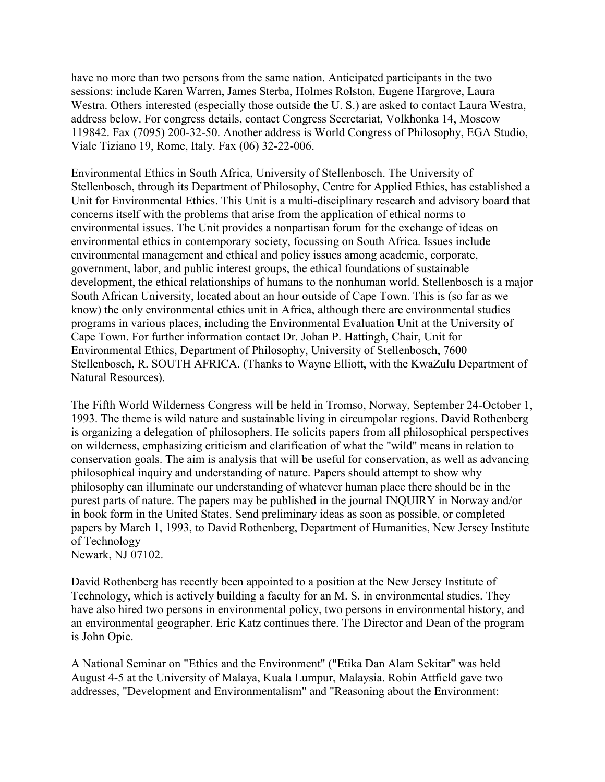have no more than two persons from the same nation. Anticipated participants in the two sessions: include Karen Warren, James Sterba, Holmes Rolston, Eugene Hargrove, Laura Westra. Others interested (especially those outside the U. S.) are asked to contact Laura Westra, address below. For congress details, contact Congress Secretariat, Volkhonka 14, Moscow 119842. Fax (7095) 200-32-50. Another address is World Congress of Philosophy, EGA Studio, Viale Tiziano 19, Rome, Italy. Fax (06) 32-22-006.

Environmental Ethics in South Africa, University of Stellenbosch. The University of Stellenbosch, through its Department of Philosophy, Centre for Applied Ethics, has established a Unit for Environmental Ethics. This Unit is a multi-disciplinary research and advisory board that concerns itself with the problems that arise from the application of ethical norms to environmental issues. The Unit provides a nonpartisan forum for the exchange of ideas on environmental ethics in contemporary society, focussing on South Africa. Issues include environmental management and ethical and policy issues among academic, corporate, government, labor, and public interest groups, the ethical foundations of sustainable development, the ethical relationships of humans to the nonhuman world. Stellenbosch is a major South African University, located about an hour outside of Cape Town. This is (so far as we know) the only environmental ethics unit in Africa, although there are environmental studies programs in various places, including the Environmental Evaluation Unit at the University of Cape Town. For further information contact Dr. Johan P. Hattingh, Chair, Unit for Environmental Ethics, Department of Philosophy, University of Stellenbosch, 7600 Stellenbosch, R. SOUTH AFRICA. (Thanks to Wayne Elliott, with the KwaZulu Department of Natural Resources).

The Fifth World Wilderness Congress will be held in Tromso, Norway, September 24-October 1, 1993. The theme is wild nature and sustainable living in circumpolar regions. David Rothenberg is organizing a delegation of philosophers. He solicits papers from all philosophical perspectives on wilderness, emphasizing criticism and clarification of what the "wild" means in relation to conservation goals. The aim is analysis that will be useful for conservation, as well as advancing philosophical inquiry and understanding of nature. Papers should attempt to show why philosophy can illuminate our understanding of whatever human place there should be in the purest parts of nature. The papers may be published in the journal INQUIRY in Norway and/or in book form in the United States. Send preliminary ideas as soon as possible, or completed papers by March 1, 1993, to David Rothenberg, Department of Humanities, New Jersey Institute of Technology Newark, NJ 07102.

David Rothenberg has recently been appointed to a position at the New Jersey Institute of Technology, which is actively building a faculty for an M. S. in environmental studies. They have also hired two persons in environmental policy, two persons in environmental history, and an environmental geographer. Eric Katz continues there. The Director and Dean of the program is John Opie.

A National Seminar on "Ethics and the Environment" ("Etika Dan Alam Sekitar" was held August 4-5 at the University of Malaya, Kuala Lumpur, Malaysia. Robin Attfield gave two addresses, "Development and Environmentalism" and "Reasoning about the Environment: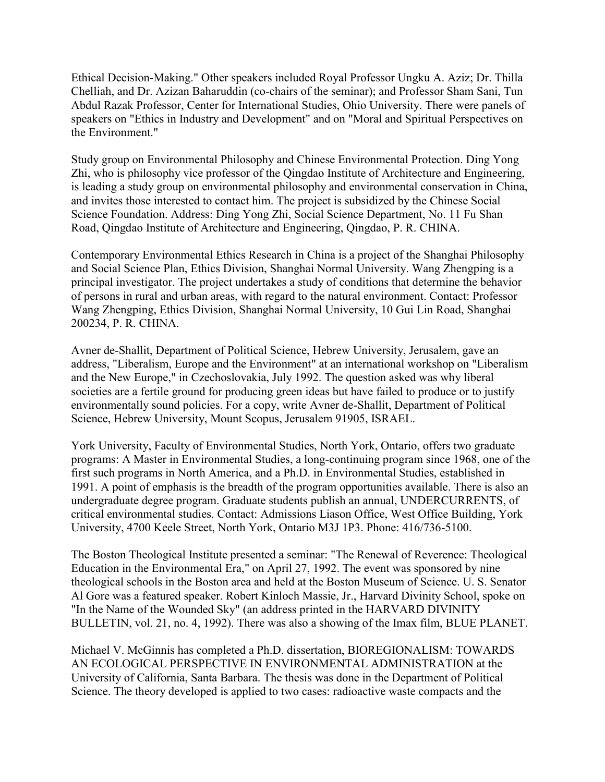Ethical Decision-Making." Other speakers included Royal Professor Ungku A. Aziz; Dr. Thilla Chelliah, and Dr. Azizan Baharuddin (co-chairs of the seminar); and Professor Sham Sani, Tun Abdul Razak Professor, Center for International Studies, Ohio University. There were panels of speakers on "Ethics in Industry and Development" and on "Moral and Spiritual Perspectives on the Environment."

Study group on Environmental Philosophy and Chinese Environmental Protection. Ding Yong Zhi, who is philosophy vice professor of the Qingdao Institute of Architecture and Engineering, is leading a study group on environmental philosophy and environmental conservation in China, and invites those interested to contact him. The project is subsidized by the Chinese Social Science Foundation. Address: Ding Yong Zhi, Social Science Department, No. 11 Fu Shan Road, Qingdao Institute of Architecture and Engineering, Qingdao, P. R. CHINA.

Contemporary Environmental Ethics Research in China is a project of the Shanghai Philosophy and Social Science Plan, Ethics Division, Shanghai Normal University. Wang Zhengping is a principal investigator. The project undertakes a study of conditions that determine the behavior of persons in rural and urban areas, with regard to the natural environment. Contact: Professor Wang Zhengping, Ethics Division, Shanghai Normal University, 10 Gui Lin Road, Shanghai 200234, P. R. CHINA.

Avner de-Shallit, Department of Political Science, Hebrew University, Jerusalem, gave an address, "Liberalism, Europe and the Environment" at an international workshop on "Liberalism and the New Europe," in Czechoslovakia, July 1992. The question asked was why liberal societies are a fertile ground for producing green ideas but have failed to produce or to justify environmentally sound policies. For a copy, write Avner de-Shallit, Department of Political Science, Hebrew University, Mount Scopus, Jerusalem 91905, ISRAEL.

York University, Faculty of Environmental Studies, North York, Ontario, offers two graduate programs: A Master in Environmental Studies, a long-continuing program since 1968, one of the first such programs in North America, and a Ph.D. in Environmental Studies, established in 1991. A point of emphasis is the breadth of the program opportunities available. There is also an undergraduate degree program. Graduate students publish an annual, UNDERCURRENTS, of critical environmental studies. Contact: Admissions Liason Office, West Office Building, York University, 4700 Keele Street, North York, Ontario M3J 1P3. Phone: 416/736-5100.

The Boston Theological Institute presented a seminar: "The Renewal of Reverence: Theological Education in the Environmental Era," on April 27, 1992. The event was sponsored by nine theological schools in the Boston area and held at the Boston Museum of Science. U. S. Senator Al Gore was a featured speaker. Robert Kinloch Massie, Jr., Harvard Divinity School, spoke on "In the Name of the Wounded Sky" (an address printed in the HARVARD DIVINITY BULLETIN, vol. 21, no. 4, 1992). There was also a showing of the Imax film, BLUE PLANET.

Michael V. McGinnis has completed a Ph.D. dissertation, BIOREGIONALISM: TOWARDS AN ECOLOGICAL PERSPECTIVE IN ENVIRONMENTAL ADMINISTRATION at the University of California, Santa Barbara. The thesis was done in the Department of Political Science. The theory developed is applied to two cases: radioactive waste compacts and the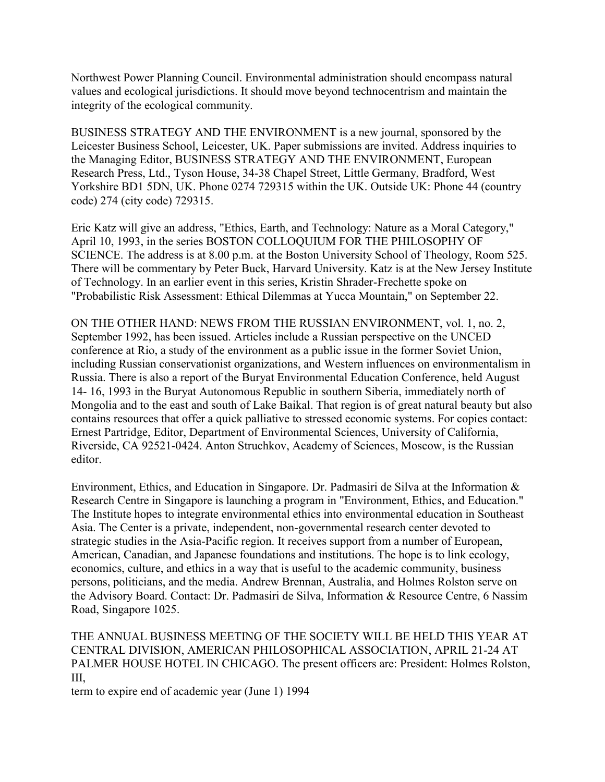Northwest Power Planning Council. Environmental administration should encompass natural values and ecological jurisdictions. It should move beyond technocentrism and maintain the integrity of the ecological community.

BUSINESS STRATEGY AND THE ENVIRONMENT is a new journal, sponsored by the Leicester Business School, Leicester, UK. Paper submissions are invited. Address inquiries to the Managing Editor, BUSINESS STRATEGY AND THE ENVIRONMENT, European Research Press, Ltd., Tyson House, 34-38 Chapel Street, Little Germany, Bradford, West Yorkshire BD1 5DN, UK. Phone 0274 729315 within the UK. Outside UK: Phone 44 (country code) 274 (city code) 729315.

Eric Katz will give an address, "Ethics, Earth, and Technology: Nature as a Moral Category," April 10, 1993, in the series BOSTON COLLOQUIUM FOR THE PHILOSOPHY OF SCIENCE. The address is at 8.00 p.m. at the Boston University School of Theology, Room 525. There will be commentary by Peter Buck, Harvard University. Katz is at the New Jersey Institute of Technology. In an earlier event in this series, Kristin Shrader-Frechette spoke on "Probabilistic Risk Assessment: Ethical Dilemmas at Yucca Mountain," on September 22.

ON THE OTHER HAND: NEWS FROM THE RUSSIAN ENVIRONMENT, vol. 1, no. 2, September 1992, has been issued. Articles include a Russian perspective on the UNCED conference at Rio, a study of the environment as a public issue in the former Soviet Union, including Russian conservationist organizations, and Western influences on environmentalism in Russia. There is also a report of the Buryat Environmental Education Conference, held August 14- 16, 1993 in the Buryat Autonomous Republic in southern Siberia, immediately north of Mongolia and to the east and south of Lake Baikal. That region is of great natural beauty but also contains resources that offer a quick palliative to stressed economic systems. For copies contact: Ernest Partridge, Editor, Department of Environmental Sciences, University of California, Riverside, CA 92521-0424. Anton Struchkov, Academy of Sciences, Moscow, is the Russian editor.

Environment, Ethics, and Education in Singapore. Dr. Padmasiri de Silva at the Information & Research Centre in Singapore is launching a program in "Environment, Ethics, and Education." The Institute hopes to integrate environmental ethics into environmental education in Southeast Asia. The Center is a private, independent, non-governmental research center devoted to strategic studies in the Asia-Pacific region. It receives support from a number of European, American, Canadian, and Japanese foundations and institutions. The hope is to link ecology, economics, culture, and ethics in a way that is useful to the academic community, business persons, politicians, and the media. Andrew Brennan, Australia, and Holmes Rolston serve on the Advisory Board. Contact: Dr. Padmasiri de Silva, Information & Resource Centre, 6 Nassim Road, Singapore 1025.

THE ANNUAL BUSINESS MEETING OF THE SOCIETY WILL BE HELD THIS YEAR AT CENTRAL DIVISION, AMERICAN PHILOSOPHICAL ASSOCIATION, APRIL 21-24 AT PALMER HOUSE HOTEL IN CHICAGO. The present officers are: President: Holmes Rolston, III,

term to expire end of academic year (June 1) 1994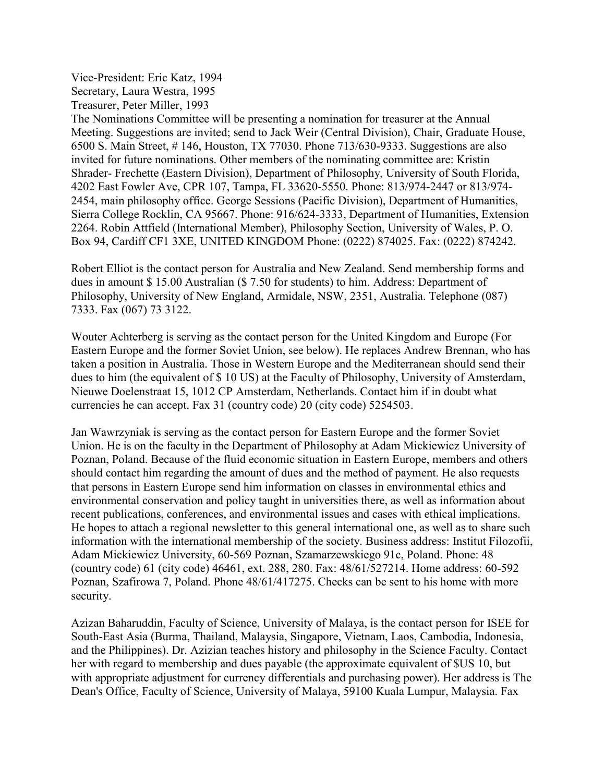Vice-President: Eric Katz, 1994 Secretary, Laura Westra, 1995 Treasurer, Peter Miller, 1993

The Nominations Committee will be presenting a nomination for treasurer at the Annual Meeting. Suggestions are invited; send to Jack Weir (Central Division), Chair, Graduate House, 6500 S. Main Street, # 146, Houston, TX 77030. Phone 713/630-9333. Suggestions are also invited for future nominations. Other members of the nominating committee are: Kristin Shrader- Frechette (Eastern Division), Department of Philosophy, University of South Florida, 4202 East Fowler Ave, CPR 107, Tampa, FL 33620-5550. Phone: 813/974-2447 or 813/974- 2454, main philosophy office. George Sessions (Pacific Division), Department of Humanities, Sierra College Rocklin, CA 95667. Phone: 916/624-3333, Department of Humanities, Extension 2264. Robin Attfield (International Member), Philosophy Section, University of Wales, P. O. Box 94, Cardiff CF1 3XE, UNITED KINGDOM Phone: (0222) 874025. Fax: (0222) 874242.

Robert Elliot is the contact person for Australia and New Zealand. Send membership forms and dues in amount \$ 15.00 Australian (\$ 7.50 for students) to him. Address: Department of Philosophy, University of New England, Armidale, NSW, 2351, Australia. Telephone (087) 7333. Fax (067) 73 3122.

Wouter Achterberg is serving as the contact person for the United Kingdom and Europe (For Eastern Europe and the former Soviet Union, see below). He replaces Andrew Brennan, who has taken a position in Australia. Those in Western Europe and the Mediterranean should send their dues to him (the equivalent of \$ 10 US) at the Faculty of Philosophy, University of Amsterdam, Nieuwe Doelenstraat 15, 1012 CP Amsterdam, Netherlands. Contact him if in doubt what currencies he can accept. Fax 31 (country code) 20 (city code) 5254503.

Jan Wawrzyniak is serving as the contact person for Eastern Europe and the former Soviet Union. He is on the faculty in the Department of Philosophy at Adam Mickiewicz University of Poznan, Poland. Because of the fluid economic situation in Eastern Europe, members and others should contact him regarding the amount of dues and the method of payment. He also requests that persons in Eastern Europe send him information on classes in environmental ethics and environmental conservation and policy taught in universities there, as well as information about recent publications, conferences, and environmental issues and cases with ethical implications. He hopes to attach a regional newsletter to this general international one, as well as to share such information with the international membership of the society. Business address: Institut Filozofii, Adam Mickiewicz University, 60-569 Poznan, Szamarzewskiego 91c, Poland. Phone: 48 (country code) 61 (city code) 46461, ext. 288, 280. Fax: 48/61/527214. Home address: 60-592 Poznan, Szafirowa 7, Poland. Phone 48/61/417275. Checks can be sent to his home with more security.

Azizan Baharuddin, Faculty of Science, University of Malaya, is the contact person for ISEE for South-East Asia (Burma, Thailand, Malaysia, Singapore, Vietnam, Laos, Cambodia, Indonesia, and the Philippines). Dr. Azizian teaches history and philosophy in the Science Faculty. Contact her with regard to membership and dues payable (the approximate equivalent of \$US 10, but with appropriate adjustment for currency differentials and purchasing power). Her address is The Dean's Office, Faculty of Science, University of Malaya, 59100 Kuala Lumpur, Malaysia. Fax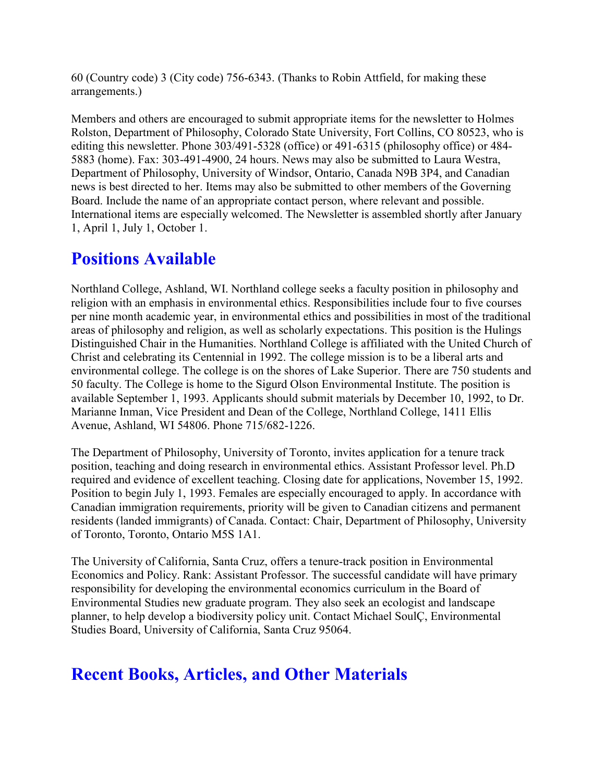60 (Country code) 3 (City code) 756-6343. (Thanks to Robin Attfield, for making these arrangements.)

Members and others are encouraged to submit appropriate items for the newsletter to Holmes Rolston, Department of Philosophy, Colorado State University, Fort Collins, CO 80523, who is editing this newsletter. Phone 303/491-5328 (office) or 491-6315 (philosophy office) or 484- 5883 (home). Fax: 303-491-4900, 24 hours. News may also be submitted to Laura Westra, Department of Philosophy, University of Windsor, Ontario, Canada N9B 3P4, and Canadian news is best directed to her. Items may also be submitted to other members of the Governing Board. Include the name of an appropriate contact person, where relevant and possible. International items are especially welcomed. The Newsletter is assembled shortly after January 1, April 1, July 1, October 1.

# **Positions Available**

Northland College, Ashland, WI. Northland college seeks a faculty position in philosophy and religion with an emphasis in environmental ethics. Responsibilities include four to five courses per nine month academic year, in environmental ethics and possibilities in most of the traditional areas of philosophy and religion, as well as scholarly expectations. This position is the Hulings Distinguished Chair in the Humanities. Northland College is affiliated with the United Church of Christ and celebrating its Centennial in 1992. The college mission is to be a liberal arts and environmental college. The college is on the shores of Lake Superior. There are 750 students and 50 faculty. The College is home to the Sigurd Olson Environmental Institute. The position is available September 1, 1993. Applicants should submit materials by December 10, 1992, to Dr. Marianne Inman, Vice President and Dean of the College, Northland College, 1411 Ellis Avenue, Ashland, WI 54806. Phone 715/682-1226.

The Department of Philosophy, University of Toronto, invites application for a tenure track position, teaching and doing research in environmental ethics. Assistant Professor level. Ph.D required and evidence of excellent teaching. Closing date for applications, November 15, 1992. Position to begin July 1, 1993. Females are especially encouraged to apply. In accordance with Canadian immigration requirements, priority will be given to Canadian citizens and permanent residents (landed immigrants) of Canada. Contact: Chair, Department of Philosophy, University of Toronto, Toronto, Ontario M5S 1A1.

The University of California, Santa Cruz, offers a tenure-track position in Environmental Economics and Policy. Rank: Assistant Professor. The successful candidate will have primary responsibility for developing the environmental economics curriculum in the Board of Environmental Studies new graduate program. They also seek an ecologist and landscape planner, to help develop a biodiversity policy unit. Contact Michael SoulÇ, Environmental Studies Board, University of California, Santa Cruz 95064.

# **Recent Books, Articles, and Other Materials**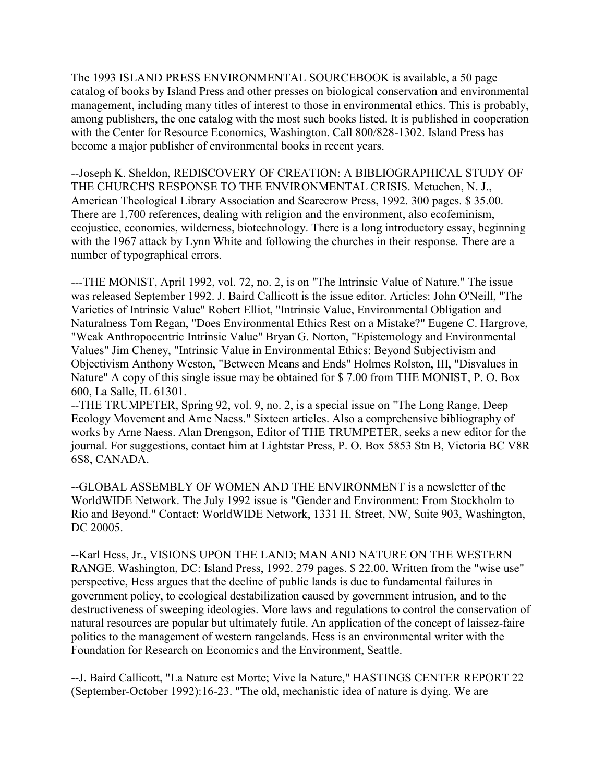The 1993 ISLAND PRESS ENVIRONMENTAL SOURCEBOOK is available, a 50 page catalog of books by Island Press and other presses on biological conservation and environmental management, including many titles of interest to those in environmental ethics. This is probably, among publishers, the one catalog with the most such books listed. It is published in cooperation with the Center for Resource Economics, Washington. Call 800/828-1302. Island Press has become a major publisher of environmental books in recent years.

--Joseph K. Sheldon, REDISCOVERY OF CREATION: A BIBLIOGRAPHICAL STUDY OF THE CHURCH'S RESPONSE TO THE ENVIRONMENTAL CRISIS. Metuchen, N. J., American Theological Library Association and Scarecrow Press, 1992. 300 pages. \$ 35.00. There are 1,700 references, dealing with religion and the environment, also ecofeminism, ecojustice, economics, wilderness, biotechnology. There is a long introductory essay, beginning with the 1967 attack by Lynn White and following the churches in their response. There are a number of typographical errors.

---THE MONIST, April 1992, vol. 72, no. 2, is on "The Intrinsic Value of Nature." The issue was released September 1992. J. Baird Callicott is the issue editor. Articles: John O'Neill, "The Varieties of Intrinsic Value" Robert Elliot, "Intrinsic Value, Environmental Obligation and Naturalness Tom Regan, "Does Environmental Ethics Rest on a Mistake?" Eugene C. Hargrove, "Weak Anthropocentric Intrinsic Value" Bryan G. Norton, "Epistemology and Environmental Values" Jim Cheney, "Intrinsic Value in Environmental Ethics: Beyond Subjectivism and Objectivism Anthony Weston, "Between Means and Ends" Holmes Rolston, III, "Disvalues in Nature" A copy of this single issue may be obtained for \$ 7.00 from THE MONIST, P. O. Box 600, La Salle, IL 61301.

--THE TRUMPETER, Spring 92, vol. 9, no. 2, is a special issue on "The Long Range, Deep Ecology Movement and Arne Naess." Sixteen articles. Also a comprehensive bibliography of works by Arne Naess. Alan Drengson, Editor of THE TRUMPETER, seeks a new editor for the journal. For suggestions, contact him at Lightstar Press, P. O. Box 5853 Stn B, Victoria BC V8R 6S8, CANADA.

--GLOBAL ASSEMBLY OF WOMEN AND THE ENVIRONMENT is a newsletter of the WorldWIDE Network. The July 1992 issue is "Gender and Environment: From Stockholm to Rio and Beyond." Contact: WorldWIDE Network, 1331 H. Street, NW, Suite 903, Washington, DC 20005.

--Karl Hess, Jr., VISIONS UPON THE LAND; MAN AND NATURE ON THE WESTERN RANGE. Washington, DC: Island Press, 1992. 279 pages. \$ 22.00. Written from the "wise use" perspective, Hess argues that the decline of public lands is due to fundamental failures in government policy, to ecological destabilization caused by government intrusion, and to the destructiveness of sweeping ideologies. More laws and regulations to control the conservation of natural resources are popular but ultimately futile. An application of the concept of laissez-faire politics to the management of western rangelands. Hess is an environmental writer with the Foundation for Research on Economics and the Environment, Seattle.

--J. Baird Callicott, "La Nature est Morte; Vive la Nature," HASTINGS CENTER REPORT 22 (September-October 1992):16-23. "The old, mechanistic idea of nature is dying. We are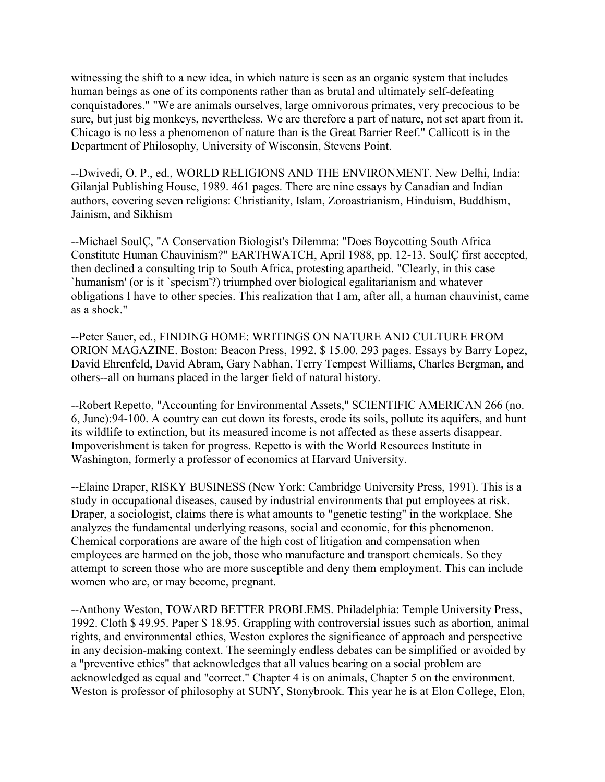witnessing the shift to a new idea, in which nature is seen as an organic system that includes human beings as one of its components rather than as brutal and ultimately self-defeating conquistadores." "We are animals ourselves, large omnivorous primates, very precocious to be sure, but just big monkeys, nevertheless. We are therefore a part of nature, not set apart from it. Chicago is no less a phenomenon of nature than is the Great Barrier Reef." Callicott is in the Department of Philosophy, University of Wisconsin, Stevens Point.

--Dwivedi, O. P., ed., WORLD RELIGIONS AND THE ENVIRONMENT. New Delhi, India: Gilanjal Publishing House, 1989. 461 pages. There are nine essays by Canadian and Indian authors, covering seven religions: Christianity, Islam, Zoroastrianism, Hinduism, Buddhism, Jainism, and Sikhism

--Michael SoulÇ, "A Conservation Biologist's Dilemma: "Does Boycotting South Africa Constitute Human Chauvinism?" EARTHWATCH, April 1988, pp. 12-13. SoulÇ first accepted, then declined a consulting trip to South Africa, protesting apartheid. "Clearly, in this case `humanism' (or is it `specism'?) triumphed over biological egalitarianism and whatever obligations I have to other species. This realization that I am, after all, a human chauvinist, came as a shock."

--Peter Sauer, ed., FINDING HOME: WRITINGS ON NATURE AND CULTURE FROM ORION MAGAZINE. Boston: Beacon Press, 1992. \$ 15.00. 293 pages. Essays by Barry Lopez, David Ehrenfeld, David Abram, Gary Nabhan, Terry Tempest Williams, Charles Bergman, and others--all on humans placed in the larger field of natural history.

--Robert Repetto, "Accounting for Environmental Assets," SCIENTIFIC AMERICAN 266 (no. 6, June):94-100. A country can cut down its forests, erode its soils, pollute its aquifers, and hunt its wildlife to extinction, but its measured income is not affected as these asserts disappear. Impoverishment is taken for progress. Repetto is with the World Resources Institute in Washington, formerly a professor of economics at Harvard University.

--Elaine Draper, RISKY BUSINESS (New York: Cambridge University Press, 1991). This is a study in occupational diseases, caused by industrial environments that put employees at risk. Draper, a sociologist, claims there is what amounts to "genetic testing" in the workplace. She analyzes the fundamental underlying reasons, social and economic, for this phenomenon. Chemical corporations are aware of the high cost of litigation and compensation when employees are harmed on the job, those who manufacture and transport chemicals. So they attempt to screen those who are more susceptible and deny them employment. This can include women who are, or may become, pregnant.

--Anthony Weston, TOWARD BETTER PROBLEMS. Philadelphia: Temple University Press, 1992. Cloth \$ 49.95. Paper \$ 18.95. Grappling with controversial issues such as abortion, animal rights, and environmental ethics, Weston explores the significance of approach and perspective in any decision-making context. The seemingly endless debates can be simplified or avoided by a "preventive ethics" that acknowledges that all values bearing on a social problem are acknowledged as equal and "correct." Chapter 4 is on animals, Chapter 5 on the environment. Weston is professor of philosophy at SUNY, Stonybrook. This year he is at Elon College, Elon,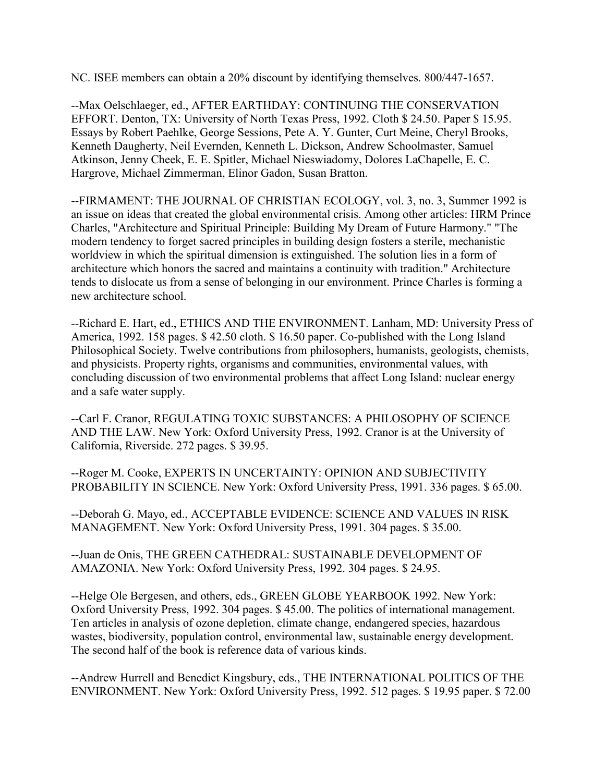NC. ISEE members can obtain a 20% discount by identifying themselves. 800/447-1657.

--Max Oelschlaeger, ed., AFTER EARTHDAY: CONTINUING THE CONSERVATION EFFORT. Denton, TX: University of North Texas Press, 1992. Cloth \$ 24.50. Paper \$ 15.95. Essays by Robert Paehlke, George Sessions, Pete A. Y. Gunter, Curt Meine, Cheryl Brooks, Kenneth Daugherty, Neil Evernden, Kenneth L. Dickson, Andrew Schoolmaster, Samuel Atkinson, Jenny Cheek, E. E. Spitler, Michael Nieswiadomy, Dolores LaChapelle, E. C. Hargrove, Michael Zimmerman, Elinor Gadon, Susan Bratton.

--FIRMAMENT: THE JOURNAL OF CHRISTIAN ECOLOGY, vol. 3, no. 3, Summer 1992 is an issue on ideas that created the global environmental crisis. Among other articles: HRM Prince Charles, "Architecture and Spiritual Principle: Building My Dream of Future Harmony." "The modern tendency to forget sacred principles in building design fosters a sterile, mechanistic worldview in which the spiritual dimension is extinguished. The solution lies in a form of architecture which honors the sacred and maintains a continuity with tradition." Architecture tends to dislocate us from a sense of belonging in our environment. Prince Charles is forming a new architecture school.

--Richard E. Hart, ed., ETHICS AND THE ENVIRONMENT. Lanham, MD: University Press of America, 1992. 158 pages. \$ 42.50 cloth. \$ 16.50 paper. Co-published with the Long Island Philosophical Society. Twelve contributions from philosophers, humanists, geologists, chemists, and physicists. Property rights, organisms and communities, environmental values, with concluding discussion of two environmental problems that affect Long Island: nuclear energy and a safe water supply.

--Carl F. Cranor, REGULATING TOXIC SUBSTANCES: A PHILOSOPHY OF SCIENCE AND THE LAW. New York: Oxford University Press, 1992. Cranor is at the University of California, Riverside. 272 pages. \$ 39.95.

--Roger M. Cooke, EXPERTS IN UNCERTAINTY: OPINION AND SUBJECTIVITY PROBABILITY IN SCIENCE. New York: Oxford University Press, 1991. 336 pages. \$ 65.00.

--Deborah G. Mayo, ed., ACCEPTABLE EVIDENCE: SCIENCE AND VALUES IN RISK MANAGEMENT. New York: Oxford University Press, 1991. 304 pages. \$ 35.00.

--Juan de Onis, THE GREEN CATHEDRAL: SUSTAINABLE DEVELOPMENT OF AMAZONIA. New York: Oxford University Press, 1992. 304 pages. \$ 24.95.

--Helge Ole Bergesen, and others, eds., GREEN GLOBE YEARBOOK 1992. New York: Oxford University Press, 1992. 304 pages. \$ 45.00. The politics of international management. Ten articles in analysis of ozone depletion, climate change, endangered species, hazardous wastes, biodiversity, population control, environmental law, sustainable energy development. The second half of the book is reference data of various kinds.

--Andrew Hurrell and Benedict Kingsbury, eds., THE INTERNATIONAL POLITICS OF THE ENVIRONMENT. New York: Oxford University Press, 1992. 512 pages. \$ 19.95 paper. \$ 72.00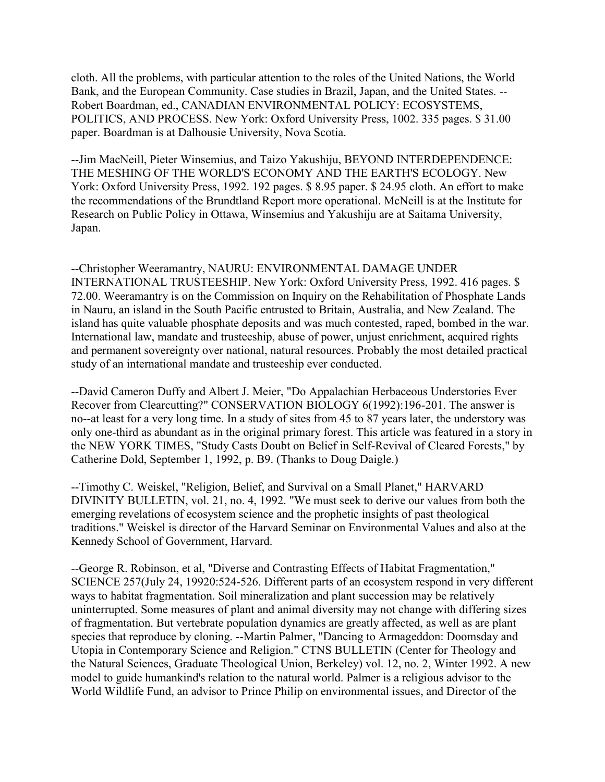cloth. All the problems, with particular attention to the roles of the United Nations, the World Bank, and the European Community. Case studies in Brazil, Japan, and the United States. -- Robert Boardman, ed., CANADIAN ENVIRONMENTAL POLICY: ECOSYSTEMS, POLITICS, AND PROCESS. New York: Oxford University Press, 1002. 335 pages. \$ 31.00 paper. Boardman is at Dalhousie University, Nova Scotia.

--Jim MacNeill, Pieter Winsemius, and Taizo Yakushiju, BEYOND INTERDEPENDENCE: THE MESHING OF THE WORLD'S ECONOMY AND THE EARTH'S ECOLOGY. New York: Oxford University Press, 1992. 192 pages. \$ 8.95 paper. \$ 24.95 cloth. An effort to make the recommendations of the Brundtland Report more operational. McNeill is at the Institute for Research on Public Policy in Ottawa, Winsemius and Yakushiju are at Saitama University, Japan.

--Christopher Weeramantry, NAURU: ENVIRONMENTAL DAMAGE UNDER INTERNATIONAL TRUSTEESHIP. New York: Oxford University Press, 1992. 416 pages. \$ 72.00. Weeramantry is on the Commission on Inquiry on the Rehabilitation of Phosphate Lands in Nauru, an island in the South Pacific entrusted to Britain, Australia, and New Zealand. The island has quite valuable phosphate deposits and was much contested, raped, bombed in the war. International law, mandate and trusteeship, abuse of power, unjust enrichment, acquired rights and permanent sovereignty over national, natural resources. Probably the most detailed practical study of an international mandate and trusteeship ever conducted.

--David Cameron Duffy and Albert J. Meier, "Do Appalachian Herbaceous Understories Ever Recover from Clearcutting?" CONSERVATION BIOLOGY 6(1992):196-201. The answer is no--at least for a very long time. In a study of sites from 45 to 87 years later, the understory was only one-third as abundant as in the original primary forest. This article was featured in a story in the NEW YORK TIMES, "Study Casts Doubt on Belief in Self-Revival of Cleared Forests," by Catherine Dold, September 1, 1992, p. B9. (Thanks to Doug Daigle.)

--Timothy C. Weiskel, "Religion, Belief, and Survival on a Small Planet," HARVARD DIVINITY BULLETIN, vol. 21, no. 4, 1992. "We must seek to derive our values from both the emerging revelations of ecosystem science and the prophetic insights of past theological traditions." Weiskel is director of the Harvard Seminar on Environmental Values and also at the Kennedy School of Government, Harvard.

--George R. Robinson, et al, "Diverse and Contrasting Effects of Habitat Fragmentation," SCIENCE 257(July 24, 19920:524-526. Different parts of an ecosystem respond in very different ways to habitat fragmentation. Soil mineralization and plant succession may be relatively uninterrupted. Some measures of plant and animal diversity may not change with differing sizes of fragmentation. But vertebrate population dynamics are greatly affected, as well as are plant species that reproduce by cloning. --Martin Palmer, "Dancing to Armageddon: Doomsday and Utopia in Contemporary Science and Religion." CTNS BULLETIN (Center for Theology and the Natural Sciences, Graduate Theological Union, Berkeley) vol. 12, no. 2, Winter 1992. A new model to guide humankind's relation to the natural world. Palmer is a religious advisor to the World Wildlife Fund, an advisor to Prince Philip on environmental issues, and Director of the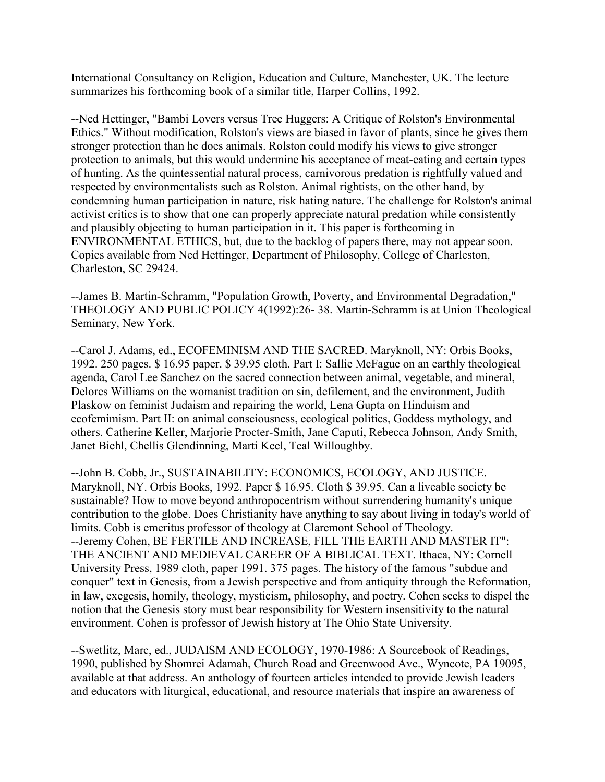International Consultancy on Religion, Education and Culture, Manchester, UK. The lecture summarizes his forthcoming book of a similar title, Harper Collins, 1992.

--Ned Hettinger, "Bambi Lovers versus Tree Huggers: A Critique of Rolston's Environmental Ethics." Without modification, Rolston's views are biased in favor of plants, since he gives them stronger protection than he does animals. Rolston could modify his views to give stronger protection to animals, but this would undermine his acceptance of meat-eating and certain types of hunting. As the quintessential natural process, carnivorous predation is rightfully valued and respected by environmentalists such as Rolston. Animal rightists, on the other hand, by condemning human participation in nature, risk hating nature. The challenge for Rolston's animal activist critics is to show that one can properly appreciate natural predation while consistently and plausibly objecting to human participation in it. This paper is forthcoming in ENVIRONMENTAL ETHICS, but, due to the backlog of papers there, may not appear soon. Copies available from Ned Hettinger, Department of Philosophy, College of Charleston, Charleston, SC 29424.

--James B. Martin-Schramm, "Population Growth, Poverty, and Environmental Degradation," THEOLOGY AND PUBLIC POLICY 4(1992):26- 38. Martin-Schramm is at Union Theological Seminary, New York.

--Carol J. Adams, ed., ECOFEMINISM AND THE SACRED. Maryknoll, NY: Orbis Books, 1992. 250 pages. \$ 16.95 paper. \$ 39.95 cloth. Part I: Sallie McFague on an earthly theological agenda, Carol Lee Sanchez on the sacred connection between animal, vegetable, and mineral, Delores Williams on the womanist tradition on sin, defilement, and the environment, Judith Plaskow on feminist Judaism and repairing the world, Lena Gupta on Hinduism and ecofemimism. Part II: on animal consciousness, ecological politics, Goddess mythology, and others. Catherine Keller, Marjorie Procter-Smith, Jane Caputi, Rebecca Johnson, Andy Smith, Janet Biehl, Chellis Glendinning, Marti Keel, Teal Willoughby.

--John B. Cobb, Jr., SUSTAINABILITY: ECONOMICS, ECOLOGY, AND JUSTICE. Maryknoll, NY. Orbis Books, 1992. Paper \$ 16.95. Cloth \$ 39.95. Can a liveable society be sustainable? How to move beyond anthropocentrism without surrendering humanity's unique contribution to the globe. Does Christianity have anything to say about living in today's world of limits. Cobb is emeritus professor of theology at Claremont School of Theology. --Jeremy Cohen, BE FERTILE AND INCREASE, FILL THE EARTH AND MASTER IT": THE ANCIENT AND MEDIEVAL CAREER OF A BIBLICAL TEXT. Ithaca, NY: Cornell University Press, 1989 cloth, paper 1991. 375 pages. The history of the famous "subdue and conquer" text in Genesis, from a Jewish perspective and from antiquity through the Reformation, in law, exegesis, homily, theology, mysticism, philosophy, and poetry. Cohen seeks to dispel the notion that the Genesis story must bear responsibility for Western insensitivity to the natural environment. Cohen is professor of Jewish history at The Ohio State University.

--Swetlitz, Marc, ed., JUDAISM AND ECOLOGY, 1970-1986: A Sourcebook of Readings, 1990, published by Shomrei Adamah, Church Road and Greenwood Ave., Wyncote, PA 19095, available at that address. An anthology of fourteen articles intended to provide Jewish leaders and educators with liturgical, educational, and resource materials that inspire an awareness of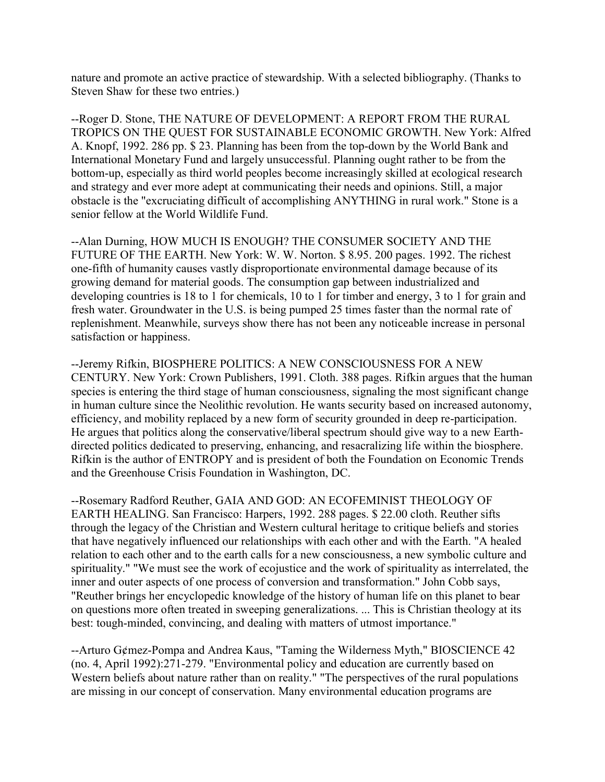nature and promote an active practice of stewardship. With a selected bibliography. (Thanks to Steven Shaw for these two entries.)

--Roger D. Stone, THE NATURE OF DEVELOPMENT: A REPORT FROM THE RURAL TROPICS ON THE QUEST FOR SUSTAINABLE ECONOMIC GROWTH. New York: Alfred A. Knopf, 1992. 286 pp. \$ 23. Planning has been from the top-down by the World Bank and International Monetary Fund and largely unsuccessful. Planning ought rather to be from the bottom-up, especially as third world peoples become increasingly skilled at ecological research and strategy and ever more adept at communicating their needs and opinions. Still, a major obstacle is the "excruciating difficult of accomplishing ANYTHING in rural work." Stone is a senior fellow at the World Wildlife Fund.

--Alan Durning, HOW MUCH IS ENOUGH? THE CONSUMER SOCIETY AND THE FUTURE OF THE EARTH. New York: W. W. Norton. \$ 8.95. 200 pages. 1992. The richest one-fifth of humanity causes vastly disproportionate environmental damage because of its growing demand for material goods. The consumption gap between industrialized and developing countries is 18 to 1 for chemicals, 10 to 1 for timber and energy, 3 to 1 for grain and fresh water. Groundwater in the U.S. is being pumped 25 times faster than the normal rate of replenishment. Meanwhile, surveys show there has not been any noticeable increase in personal satisfaction or happiness.

--Jeremy Rifkin, BIOSPHERE POLITICS: A NEW CONSCIOUSNESS FOR A NEW CENTURY. New York: Crown Publishers, 1991. Cloth. 388 pages. Rifkin argues that the human species is entering the third stage of human consciousness, signaling the most significant change in human culture since the Neolithic revolution. He wants security based on increased autonomy, efficiency, and mobility replaced by a new form of security grounded in deep re-participation. He argues that politics along the conservative/liberal spectrum should give way to a new Earthdirected politics dedicated to preserving, enhancing, and resacralizing life within the biosphere. Rifkin is the author of ENTROPY and is president of both the Foundation on Economic Trends and the Greenhouse Crisis Foundation in Washington, DC.

--Rosemary Radford Reuther, GAIA AND GOD: AN ECOFEMINIST THEOLOGY OF EARTH HEALING. San Francisco: Harpers, 1992. 288 pages. \$ 22.00 cloth. Reuther sifts through the legacy of the Christian and Western cultural heritage to critique beliefs and stories that have negatively influenced our relationships with each other and with the Earth. "A healed relation to each other and to the earth calls for a new consciousness, a new symbolic culture and spirituality." "We must see the work of ecojustice and the work of spirituality as interrelated, the inner and outer aspects of one process of conversion and transformation." John Cobb says, "Reuther brings her encyclopedic knowledge of the history of human life on this planet to bear on questions more often treated in sweeping generalizations. ... This is Christian theology at its best: tough-minded, convincing, and dealing with matters of utmost importance."

--Arturo G¢mez-Pompa and Andrea Kaus, "Taming the Wilderness Myth," BIOSCIENCE 42 (no. 4, April 1992):271-279. "Environmental policy and education are currently based on Western beliefs about nature rather than on reality." "The perspectives of the rural populations are missing in our concept of conservation. Many environmental education programs are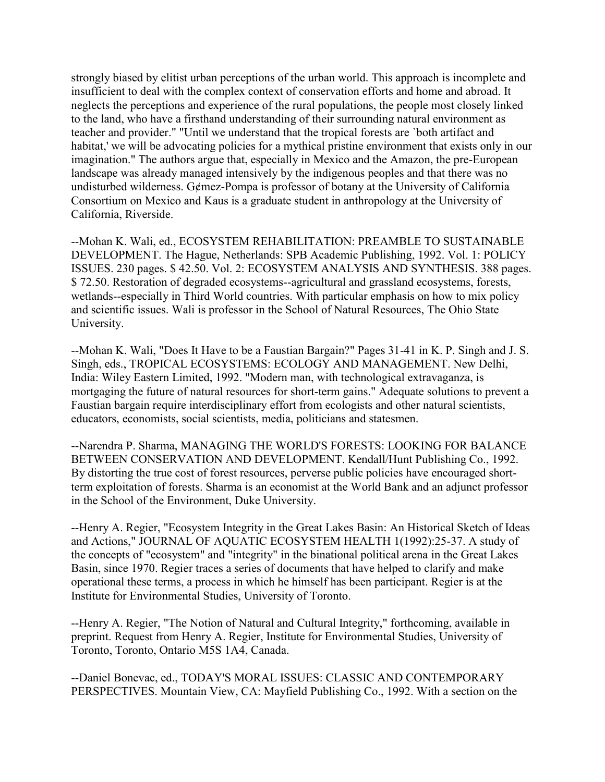strongly biased by elitist urban perceptions of the urban world. This approach is incomplete and insufficient to deal with the complex context of conservation efforts and home and abroad. It neglects the perceptions and experience of the rural populations, the people most closely linked to the land, who have a firsthand understanding of their surrounding natural environment as teacher and provider." "Until we understand that the tropical forests are `both artifact and habitat,' we will be advocating policies for a mythical pristine environment that exists only in our imagination." The authors argue that, especially in Mexico and the Amazon, the pre-European landscape was already managed intensively by the indigenous peoples and that there was no undisturbed wilderness. G¢mez-Pompa is professor of botany at the University of California Consortium on Mexico and Kaus is a graduate student in anthropology at the University of California, Riverside.

--Mohan K. Wali, ed., ECOSYSTEM REHABILITATION: PREAMBLE TO SUSTAINABLE DEVELOPMENT. The Hague, Netherlands: SPB Academic Publishing, 1992. Vol. 1: POLICY ISSUES. 230 pages. \$ 42.50. Vol. 2: ECOSYSTEM ANALYSIS AND SYNTHESIS. 388 pages. \$ 72.50. Restoration of degraded ecosystems--agricultural and grassland ecosystems, forests, wetlands--especially in Third World countries. With particular emphasis on how to mix policy and scientific issues. Wali is professor in the School of Natural Resources, The Ohio State University.

--Mohan K. Wali, "Does It Have to be a Faustian Bargain?" Pages 31-41 in K. P. Singh and J. S. Singh, eds., TROPICAL ECOSYSTEMS: ECOLOGY AND MANAGEMENT. New Delhi, India: Wiley Eastern Limited, 1992. "Modern man, with technological extravaganza, is mortgaging the future of natural resources for short-term gains." Adequate solutions to prevent a Faustian bargain require interdisciplinary effort from ecologists and other natural scientists, educators, economists, social scientists, media, politicians and statesmen.

--Narendra P. Sharma, MANAGING THE WORLD'S FORESTS: LOOKING FOR BALANCE BETWEEN CONSERVATION AND DEVELOPMENT. Kendall/Hunt Publishing Co., 1992. By distorting the true cost of forest resources, perverse public policies have encouraged shortterm exploitation of forests. Sharma is an economist at the World Bank and an adjunct professor in the School of the Environment, Duke University.

--Henry A. Regier, "Ecosystem Integrity in the Great Lakes Basin: An Historical Sketch of Ideas and Actions," JOURNAL OF AQUATIC ECOSYSTEM HEALTH 1(1992):25-37. A study of the concepts of "ecosystem" and "integrity" in the binational political arena in the Great Lakes Basin, since 1970. Regier traces a series of documents that have helped to clarify and make operational these terms, a process in which he himself has been participant. Regier is at the Institute for Environmental Studies, University of Toronto.

--Henry A. Regier, "The Notion of Natural and Cultural Integrity," forthcoming, available in preprint. Request from Henry A. Regier, Institute for Environmental Studies, University of Toronto, Toronto, Ontario M5S 1A4, Canada.

--Daniel Bonevac, ed., TODAY'S MORAL ISSUES: CLASSIC AND CONTEMPORARY PERSPECTIVES. Mountain View, CA: Mayfield Publishing Co., 1992. With a section on the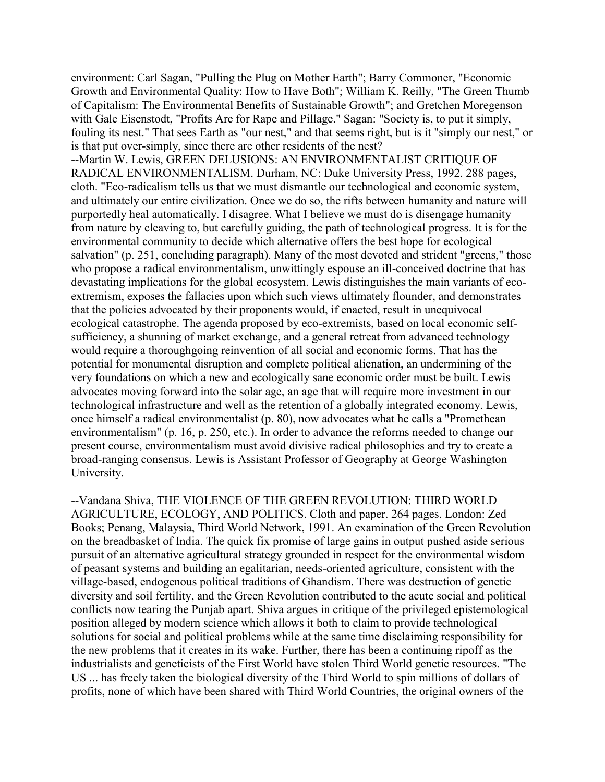environment: Carl Sagan, "Pulling the Plug on Mother Earth"; Barry Commoner, "Economic Growth and Environmental Quality: How to Have Both"; William K. Reilly, "The Green Thumb of Capitalism: The Environmental Benefits of Sustainable Growth"; and Gretchen Moregenson with Gale Eisenstodt, "Profits Are for Rape and Pillage." Sagan: "Society is, to put it simply, fouling its nest." That sees Earth as "our nest," and that seems right, but is it "simply our nest," or is that put over-simply, since there are other residents of the nest?

--Martin W. Lewis, GREEN DELUSIONS: AN ENVIRONMENTALIST CRITIQUE OF RADICAL ENVIRONMENTALISM. Durham, NC: Duke University Press, 1992. 288 pages, cloth. "Eco-radicalism tells us that we must dismantle our technological and economic system, and ultimately our entire civilization. Once we do so, the rifts between humanity and nature will purportedly heal automatically. I disagree. What I believe we must do is disengage humanity from nature by cleaving to, but carefully guiding, the path of technological progress. It is for the environmental community to decide which alternative offers the best hope for ecological salvation" (p. 251, concluding paragraph). Many of the most devoted and strident "greens," those who propose a radical environmentalism, unwittingly espouse an ill-conceived doctrine that has devastating implications for the global ecosystem. Lewis distinguishes the main variants of ecoextremism, exposes the fallacies upon which such views ultimately flounder, and demonstrates that the policies advocated by their proponents would, if enacted, result in unequivocal ecological catastrophe. The agenda proposed by eco-extremists, based on local economic selfsufficiency, a shunning of market exchange, and a general retreat from advanced technology would require a thoroughgoing reinvention of all social and economic forms. That has the potential for monumental disruption and complete political alienation, an undermining of the very foundations on which a new and ecologically sane economic order must be built. Lewis advocates moving forward into the solar age, an age that will require more investment in our technological infrastructure and well as the retention of a globally integrated economy. Lewis, once himself a radical environmentalist (p. 80), now advocates what he calls a "Promethean environmentalism" (p. 16, p. 250, etc.). In order to advance the reforms needed to change our present course, environmentalism must avoid divisive radical philosophies and try to create a broad-ranging consensus. Lewis is Assistant Professor of Geography at George Washington University.

--Vandana Shiva, THE VIOLENCE OF THE GREEN REVOLUTION: THIRD WORLD AGRICULTURE, ECOLOGY, AND POLITICS. Cloth and paper. 264 pages. London: Zed Books; Penang, Malaysia, Third World Network, 1991. An examination of the Green Revolution on the breadbasket of India. The quick fix promise of large gains in output pushed aside serious pursuit of an alternative agricultural strategy grounded in respect for the environmental wisdom of peasant systems and building an egalitarian, needs-oriented agriculture, consistent with the village-based, endogenous political traditions of Ghandism. There was destruction of genetic diversity and soil fertility, and the Green Revolution contributed to the acute social and political conflicts now tearing the Punjab apart. Shiva argues in critique of the privileged epistemological position alleged by modern science which allows it both to claim to provide technological solutions for social and political problems while at the same time disclaiming responsibility for the new problems that it creates in its wake. Further, there has been a continuing ripoff as the industrialists and geneticists of the First World have stolen Third World genetic resources. "The US ... has freely taken the biological diversity of the Third World to spin millions of dollars of profits, none of which have been shared with Third World Countries, the original owners of the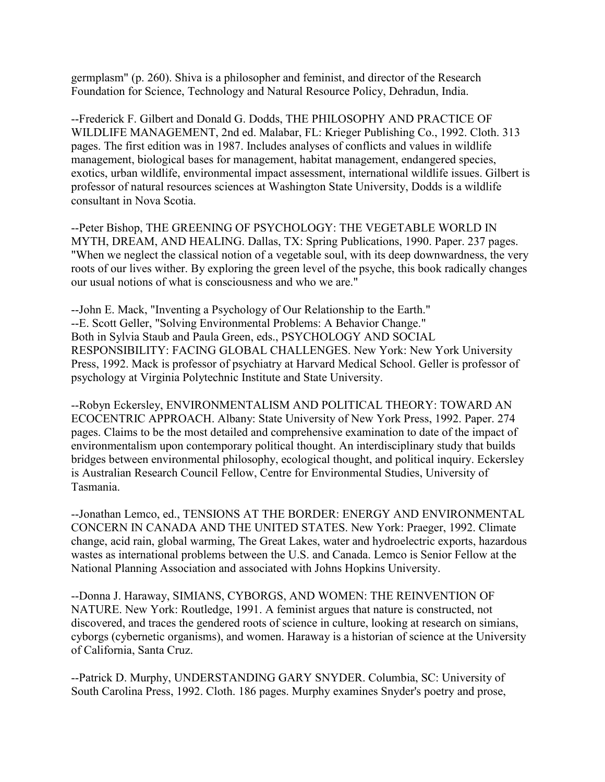germplasm" (p. 260). Shiva is a philosopher and feminist, and director of the Research Foundation for Science, Technology and Natural Resource Policy, Dehradun, India.

--Frederick F. Gilbert and Donald G. Dodds, THE PHILOSOPHY AND PRACTICE OF WILDLIFE MANAGEMENT, 2nd ed. Malabar, FL: Krieger Publishing Co., 1992. Cloth. 313 pages. The first edition was in 1987. Includes analyses of conflicts and values in wildlife management, biological bases for management, habitat management, endangered species, exotics, urban wildlife, environmental impact assessment, international wildlife issues. Gilbert is professor of natural resources sciences at Washington State University, Dodds is a wildlife consultant in Nova Scotia.

--Peter Bishop, THE GREENING OF PSYCHOLOGY: THE VEGETABLE WORLD IN MYTH, DREAM, AND HEALING. Dallas, TX: Spring Publications, 1990. Paper. 237 pages. "When we neglect the classical notion of a vegetable soul, with its deep downwardness, the very roots of our lives wither. By exploring the green level of the psyche, this book radically changes our usual notions of what is consciousness and who we are."

--John E. Mack, "Inventing a Psychology of Our Relationship to the Earth." --E. Scott Geller, "Solving Environmental Problems: A Behavior Change." Both in Sylvia Staub and Paula Green, eds., PSYCHOLOGY AND SOCIAL RESPONSIBILITY: FACING GLOBAL CHALLENGES. New York: New York University Press, 1992. Mack is professor of psychiatry at Harvard Medical School. Geller is professor of psychology at Virginia Polytechnic Institute and State University.

--Robyn Eckersley, ENVIRONMENTALISM AND POLITICAL THEORY: TOWARD AN ECOCENTRIC APPROACH. Albany: State University of New York Press, 1992. Paper. 274 pages. Claims to be the most detailed and comprehensive examination to date of the impact of environmentalism upon contemporary political thought. An interdisciplinary study that builds bridges between environmental philosophy, ecological thought, and political inquiry. Eckersley is Australian Research Council Fellow, Centre for Environmental Studies, University of Tasmania.

--Jonathan Lemco, ed., TENSIONS AT THE BORDER: ENERGY AND ENVIRONMENTAL CONCERN IN CANADA AND THE UNITED STATES. New York: Praeger, 1992. Climate change, acid rain, global warming, The Great Lakes, water and hydroelectric exports, hazardous wastes as international problems between the U.S. and Canada. Lemco is Senior Fellow at the National Planning Association and associated with Johns Hopkins University.

--Donna J. Haraway, SIMIANS, CYBORGS, AND WOMEN: THE REINVENTION OF NATURE. New York: Routledge, 1991. A feminist argues that nature is constructed, not discovered, and traces the gendered roots of science in culture, looking at research on simians, cyborgs (cybernetic organisms), and women. Haraway is a historian of science at the University of California, Santa Cruz.

--Patrick D. Murphy, UNDERSTANDING GARY SNYDER. Columbia, SC: University of South Carolina Press, 1992. Cloth. 186 pages. Murphy examines Snyder's poetry and prose,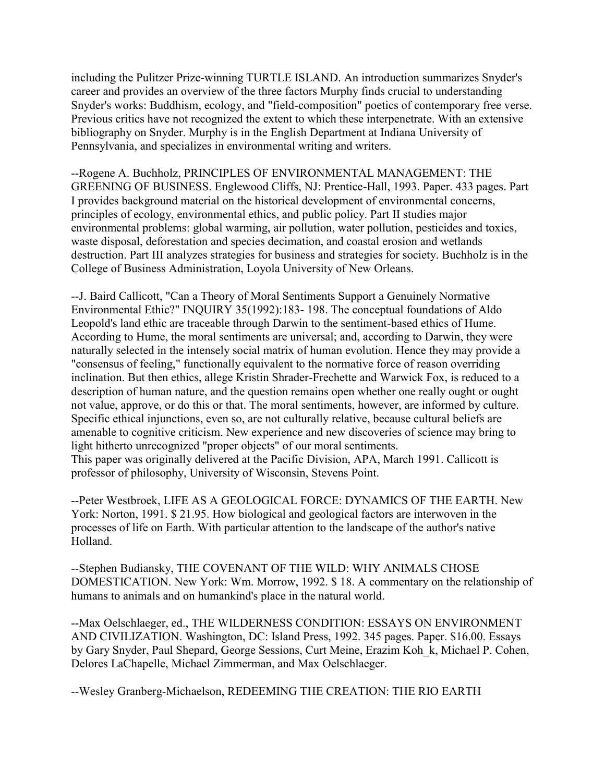including the Pulitzer Prize-winning TURTLE ISLAND. An introduction summarizes Snyder's career and provides an overview of the three factors Murphy finds crucial to understanding Snyder's works: Buddhism, ecology, and "field-composition" poetics of contemporary free verse. Previous critics have not recognized the extent to which these interpenetrate. With an extensive bibliography on Snyder. Murphy is in the English Department at Indiana University of Pennsylvania, and specializes in environmental writing and writers.

--Rogene A. Buchholz, PRINCIPLES OF ENVIRONMENTAL MANAGEMENT: THE GREENING OF BUSINESS. Englewood Cliffs, NJ: Prentice-Hall, 1993. Paper. 433 pages. Part I provides background material on the historical development of environmental concerns, principles of ecology, environmental ethics, and public policy. Part II studies major environmental problems: global warming, air pollution, water pollution, pesticides and toxics, waste disposal, deforestation and species decimation, and coastal erosion and wetlands destruction. Part III analyzes strategies for business and strategies for society. Buchholz is in the College of Business Administration, Loyola University of New Orleans.

--J. Baird Callicott, "Can a Theory of Moral Sentiments Support a Genuinely Normative Environmental Ethic?" INQUIRY 35(1992):183- 198. The conceptual foundations of Aldo Leopold's land ethic are traceable through Darwin to the sentiment-based ethics of Hume. According to Hume, the moral sentiments are universal; and, according to Darwin, they were naturally selected in the intensely social matrix of human evolution. Hence they may provide a "consensus of feeling," functionally equivalent to the normative force of reason overriding inclination. But then ethics, allege Kristin Shrader-Frechette and Warwick Fox, is reduced to a description of human nature, and the question remains open whether one really ought or ought not value, approve, or do this or that. The moral sentiments, however, are informed by culture. Specific ethical injunctions, even so, are not culturally relative, because cultural beliefs are amenable to cognitive criticism. New experience and new discoveries of science may bring to light hitherto unrecognized "proper objects" of our moral sentiments. This paper was originally delivered at the Pacific Division, APA, March 1991. Callicott is professor of philosophy, University of Wisconsin, Stevens Point.

--Peter Westbroek, LIFE AS A GEOLOGICAL FORCE: DYNAMICS OF THE EARTH. New York: Norton, 1991. \$ 21.95. How biological and geological factors are interwoven in the processes of life on Earth. With particular attention to the landscape of the author's native Holland.

--Stephen Budiansky, THE COVENANT OF THE WILD: WHY ANIMALS CHOSE DOMESTICATION. New York: Wm. Morrow, 1992. \$ 18. A commentary on the relationship of humans to animals and on humankind's place in the natural world.

--Max Oelschlaeger, ed., THE WILDERNESS CONDITION: ESSAYS ON ENVIRONMENT AND CIVILIZATION. Washington, DC: Island Press, 1992. 345 pages. Paper. \$16.00. Essays by Gary Snyder, Paul Shepard, George Sessions, Curt Meine, Erazim Koh\_k, Michael P. Cohen, Delores LaChapelle, Michael Zimmerman, and Max Oelschlaeger.

--Wesley Granberg-Michaelson, REDEEMING THE CREATION: THE RIO EARTH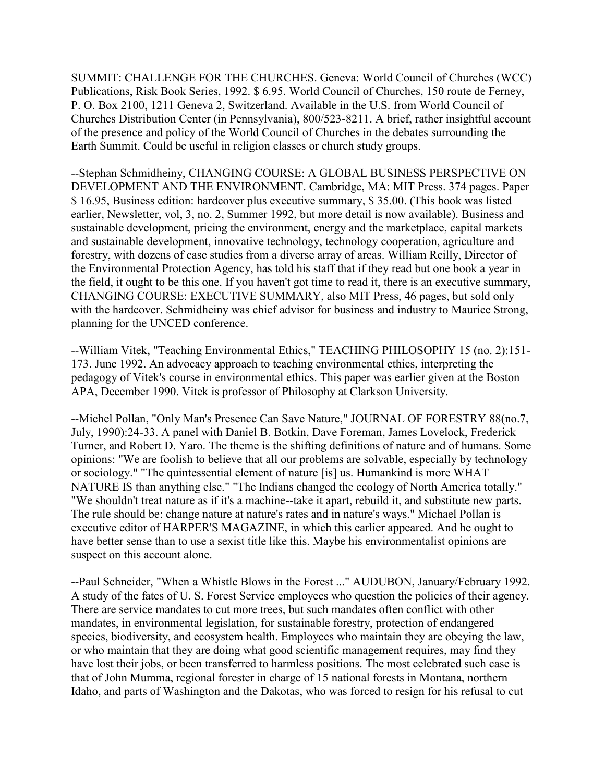SUMMIT: CHALLENGE FOR THE CHURCHES. Geneva: World Council of Churches (WCC) Publications, Risk Book Series, 1992. \$ 6.95. World Council of Churches, 150 route de Ferney, P. O. Box 2100, 1211 Geneva 2, Switzerland. Available in the U.S. from World Council of Churches Distribution Center (in Pennsylvania), 800/523-8211. A brief, rather insightful account of the presence and policy of the World Council of Churches in the debates surrounding the Earth Summit. Could be useful in religion classes or church study groups.

--Stephan Schmidheiny, CHANGING COURSE: A GLOBAL BUSINESS PERSPECTIVE ON DEVELOPMENT AND THE ENVIRONMENT. Cambridge, MA: MIT Press. 374 pages. Paper \$ 16.95, Business edition: hardcover plus executive summary, \$ 35.00. (This book was listed earlier, Newsletter, vol, 3, no. 2, Summer 1992, but more detail is now available). Business and sustainable development, pricing the environment, energy and the marketplace, capital markets and sustainable development, innovative technology, technology cooperation, agriculture and forestry, with dozens of case studies from a diverse array of areas. William Reilly, Director of the Environmental Protection Agency, has told his staff that if they read but one book a year in the field, it ought to be this one. If you haven't got time to read it, there is an executive summary, CHANGING COURSE: EXECUTIVE SUMMARY, also MIT Press, 46 pages, but sold only with the hardcover. Schmidheiny was chief advisor for business and industry to Maurice Strong, planning for the UNCED conference.

--William Vitek, "Teaching Environmental Ethics," TEACHING PHILOSOPHY 15 (no. 2):151- 173. June 1992. An advocacy approach to teaching environmental ethics, interpreting the pedagogy of Vitek's course in environmental ethics. This paper was earlier given at the Boston APA, December 1990. Vitek is professor of Philosophy at Clarkson University.

--Michel Pollan, "Only Man's Presence Can Save Nature," JOURNAL OF FORESTRY 88(no.7, July, 1990):24-33. A panel with Daniel B. Botkin, Dave Foreman, James Lovelock, Frederick Turner, and Robert D. Yaro. The theme is the shifting definitions of nature and of humans. Some opinions: "We are foolish to believe that all our problems are solvable, especially by technology or sociology." "The quintessential element of nature [is] us. Humankind is more WHAT NATURE IS than anything else." "The Indians changed the ecology of North America totally." "We shouldn't treat nature as if it's a machine--take it apart, rebuild it, and substitute new parts. The rule should be: change nature at nature's rates and in nature's ways." Michael Pollan is executive editor of HARPER'S MAGAZINE, in which this earlier appeared. And he ought to have better sense than to use a sexist title like this. Maybe his environmentalist opinions are suspect on this account alone.

--Paul Schneider, "When a Whistle Blows in the Forest ..." AUDUBON, January/February 1992. A study of the fates of U. S. Forest Service employees who question the policies of their agency. There are service mandates to cut more trees, but such mandates often conflict with other mandates, in environmental legislation, for sustainable forestry, protection of endangered species, biodiversity, and ecosystem health. Employees who maintain they are obeying the law, or who maintain that they are doing what good scientific management requires, may find they have lost their jobs, or been transferred to harmless positions. The most celebrated such case is that of John Mumma, regional forester in charge of 15 national forests in Montana, northern Idaho, and parts of Washington and the Dakotas, who was forced to resign for his refusal to cut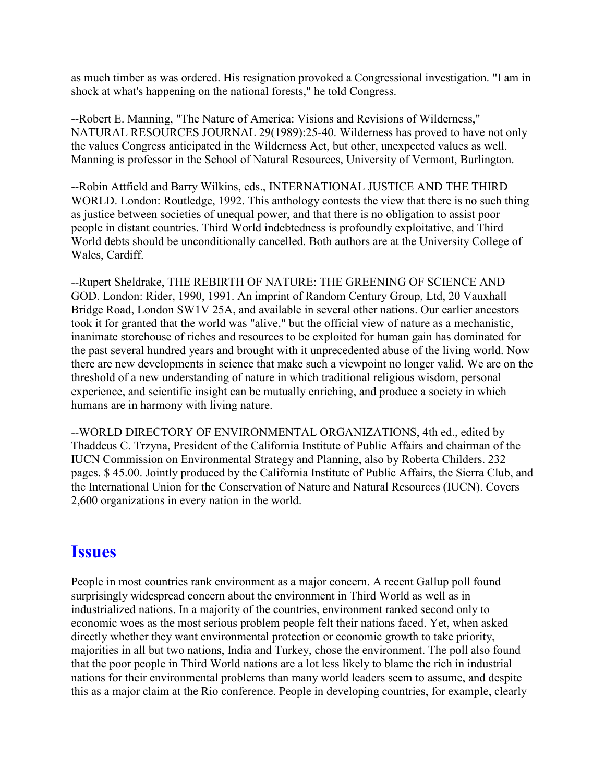as much timber as was ordered. His resignation provoked a Congressional investigation. "I am in shock at what's happening on the national forests," he told Congress.

--Robert E. Manning, "The Nature of America: Visions and Revisions of Wilderness," NATURAL RESOURCES JOURNAL 29(1989):25-40. Wilderness has proved to have not only the values Congress anticipated in the Wilderness Act, but other, unexpected values as well. Manning is professor in the School of Natural Resources, University of Vermont, Burlington.

--Robin Attfield and Barry Wilkins, eds., INTERNATIONAL JUSTICE AND THE THIRD WORLD. London: Routledge, 1992. This anthology contests the view that there is no such thing as justice between societies of unequal power, and that there is no obligation to assist poor people in distant countries. Third World indebtedness is profoundly exploitative, and Third World debts should be unconditionally cancelled. Both authors are at the University College of Wales, Cardiff.

--Rupert Sheldrake, THE REBIRTH OF NATURE: THE GREENING OF SCIENCE AND GOD. London: Rider, 1990, 1991. An imprint of Random Century Group, Ltd, 20 Vauxhall Bridge Road, London SW1V 25A, and available in several other nations. Our earlier ancestors took it for granted that the world was "alive," but the official view of nature as a mechanistic, inanimate storehouse of riches and resources to be exploited for human gain has dominated for the past several hundred years and brought with it unprecedented abuse of the living world. Now there are new developments in science that make such a viewpoint no longer valid. We are on the threshold of a new understanding of nature in which traditional religious wisdom, personal experience, and scientific insight can be mutually enriching, and produce a society in which humans are in harmony with living nature.

--WORLD DIRECTORY OF ENVIRONMENTAL ORGANIZATIONS, 4th ed., edited by Thaddeus C. Trzyna, President of the California Institute of Public Affairs and chairman of the IUCN Commission on Environmental Strategy and Planning, also by Roberta Childers. 232 pages. \$ 45.00. Jointly produced by the California Institute of Public Affairs, the Sierra Club, and the International Union for the Conservation of Nature and Natural Resources (IUCN). Covers 2,600 organizations in every nation in the world.

#### **Issues**

People in most countries rank environment as a major concern. A recent Gallup poll found surprisingly widespread concern about the environment in Third World as well as in industrialized nations. In a majority of the countries, environment ranked second only to economic woes as the most serious problem people felt their nations faced. Yet, when asked directly whether they want environmental protection or economic growth to take priority, majorities in all but two nations, India and Turkey, chose the environment. The poll also found that the poor people in Third World nations are a lot less likely to blame the rich in industrial nations for their environmental problems than many world leaders seem to assume, and despite this as a major claim at the Rio conference. People in developing countries, for example, clearly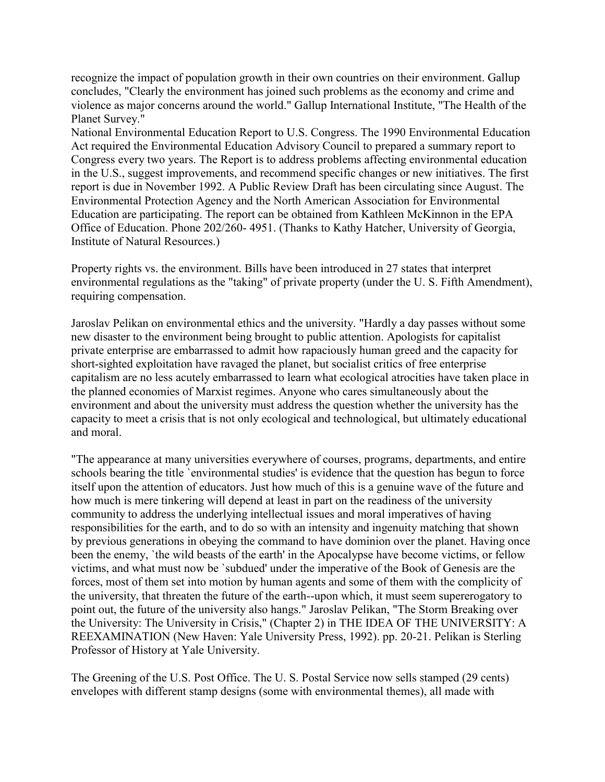recognize the impact of population growth in their own countries on their environment. Gallup concludes, "Clearly the environment has joined such problems as the economy and crime and violence as major concerns around the world." Gallup International Institute, "The Health of the Planet Survey."

National Environmental Education Report to U.S. Congress. The 1990 Environmental Education Act required the Environmental Education Advisory Council to prepared a summary report to Congress every two years. The Report is to address problems affecting environmental education in the U.S., suggest improvements, and recommend specific changes or new initiatives. The first report is due in November 1992. A Public Review Draft has been circulating since August. The Environmental Protection Agency and the North American Association for Environmental Education are participating. The report can be obtained from Kathleen McKinnon in the EPA Office of Education. Phone 202/260- 4951. (Thanks to Kathy Hatcher, University of Georgia, Institute of Natural Resources.)

Property rights vs. the environment. Bills have been introduced in 27 states that interpret environmental regulations as the "taking" of private property (under the U. S. Fifth Amendment), requiring compensation.

Jaroslav Pelikan on environmental ethics and the university. "Hardly a day passes without some new disaster to the environment being brought to public attention. Apologists for capitalist private enterprise are embarrassed to admit how rapaciously human greed and the capacity for short-sighted exploitation have ravaged the planet, but socialist critics of free enterprise capitalism are no less acutely embarrassed to learn what ecological atrocities have taken place in the planned economies of Marxist regimes. Anyone who cares simultaneously about the environment and about the university must address the question whether the university has the capacity to meet a crisis that is not only ecological and technological, but ultimately educational and moral.

"The appearance at many universities everywhere of courses, programs, departments, and entire schools bearing the title `environmental studies' is evidence that the question has begun to force itself upon the attention of educators. Just how much of this is a genuine wave of the future and how much is mere tinkering will depend at least in part on the readiness of the university community to address the underlying intellectual issues and moral imperatives of having responsibilities for the earth, and to do so with an intensity and ingenuity matching that shown by previous generations in obeying the command to have dominion over the planet. Having once been the enemy, 'the wild beasts of the earth' in the Apocalypse have become victims, or fellow victims, and what must now be `subdued' under the imperative of the Book of Genesis are the forces, most of them set into motion by human agents and some of them with the complicity of the university, that threaten the future of the earth--upon which, it must seem supererogatory to point out, the future of the university also hangs." Jaroslav Pelikan, "The Storm Breaking over the University: The University in Crisis," (Chapter 2) in THE IDEA OF THE UNIVERSITY: A REEXAMINATION (New Haven: Yale University Press, 1992). pp. 20-21. Pelikan is Sterling Professor of History at Yale University.

The Greening of the U.S. Post Office. The U. S. Postal Service now sells stamped (29 cents) envelopes with different stamp designs (some with environmental themes), all made with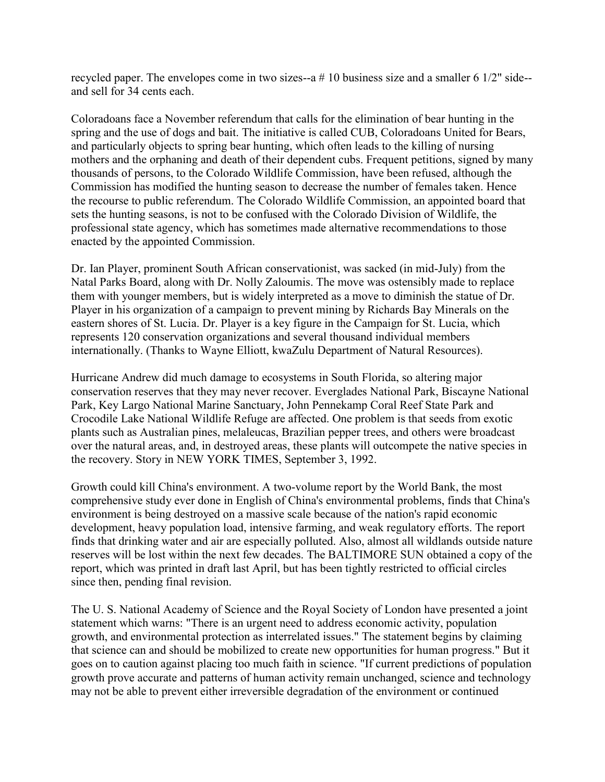recycled paper. The envelopes come in two sizes--a # 10 business size and a smaller 6 1/2" side- and sell for 34 cents each.

Coloradoans face a November referendum that calls for the elimination of bear hunting in the spring and the use of dogs and bait. The initiative is called CUB, Coloradoans United for Bears, and particularly objects to spring bear hunting, which often leads to the killing of nursing mothers and the orphaning and death of their dependent cubs. Frequent petitions, signed by many thousands of persons, to the Colorado Wildlife Commission, have been refused, although the Commission has modified the hunting season to decrease the number of females taken. Hence the recourse to public referendum. The Colorado Wildlife Commission, an appointed board that sets the hunting seasons, is not to be confused with the Colorado Division of Wildlife, the professional state agency, which has sometimes made alternative recommendations to those enacted by the appointed Commission.

Dr. Ian Player, prominent South African conservationist, was sacked (in mid-July) from the Natal Parks Board, along with Dr. Nolly Zaloumis. The move was ostensibly made to replace them with younger members, but is widely interpreted as a move to diminish the statue of Dr. Player in his organization of a campaign to prevent mining by Richards Bay Minerals on the eastern shores of St. Lucia. Dr. Player is a key figure in the Campaign for St. Lucia, which represents 120 conservation organizations and several thousand individual members internationally. (Thanks to Wayne Elliott, kwaZulu Department of Natural Resources).

Hurricane Andrew did much damage to ecosystems in South Florida, so altering major conservation reserves that they may never recover. Everglades National Park, Biscayne National Park, Key Largo National Marine Sanctuary, John Pennekamp Coral Reef State Park and Crocodile Lake National Wildlife Refuge are affected. One problem is that seeds from exotic plants such as Australian pines, melaleucas, Brazilian pepper trees, and others were broadcast over the natural areas, and, in destroyed areas, these plants will outcompete the native species in the recovery. Story in NEW YORK TIMES, September 3, 1992.

Growth could kill China's environment. A two-volume report by the World Bank, the most comprehensive study ever done in English of China's environmental problems, finds that China's environment is being destroyed on a massive scale because of the nation's rapid economic development, heavy population load, intensive farming, and weak regulatory efforts. The report finds that drinking water and air are especially polluted. Also, almost all wildlands outside nature reserves will be lost within the next few decades. The BALTIMORE SUN obtained a copy of the report, which was printed in draft last April, but has been tightly restricted to official circles since then, pending final revision.

The U. S. National Academy of Science and the Royal Society of London have presented a joint statement which warns: "There is an urgent need to address economic activity, population growth, and environmental protection as interrelated issues." The statement begins by claiming that science can and should be mobilized to create new opportunities for human progress." But it goes on to caution against placing too much faith in science. "If current predictions of population growth prove accurate and patterns of human activity remain unchanged, science and technology may not be able to prevent either irreversible degradation of the environment or continued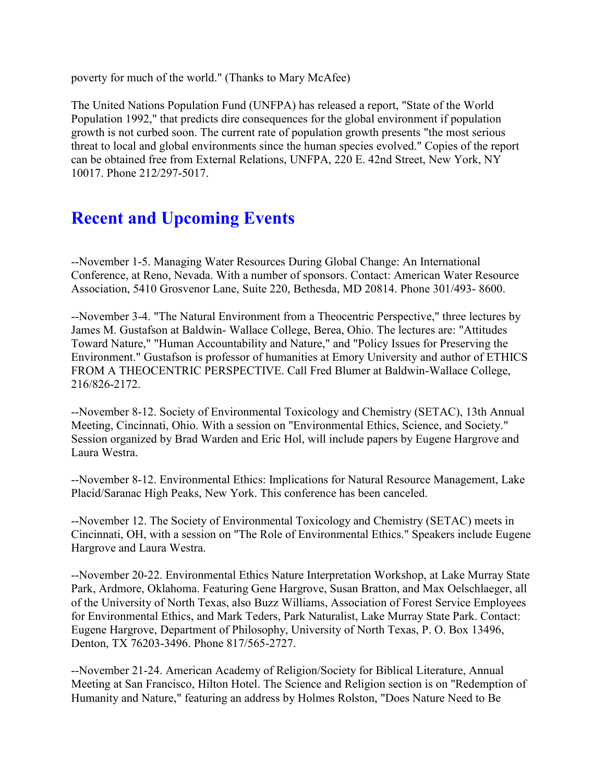poverty for much of the world." (Thanks to Mary McAfee)

The United Nations Population Fund (UNFPA) has released a report, "State of the World Population 1992," that predicts dire consequences for the global environment if population growth is not curbed soon. The current rate of population growth presents "the most serious threat to local and global environments since the human species evolved." Copies of the report can be obtained free from External Relations, UNFPA, 220 E. 42nd Street, New York, NY 10017. Phone 212/297-5017.

## **Recent and Upcoming Events**

--November 1-5. Managing Water Resources During Global Change: An International Conference, at Reno, Nevada. With a number of sponsors. Contact: American Water Resource Association, 5410 Grosvenor Lane, Suite 220, Bethesda, MD 20814. Phone 301/493- 8600.

--November 3-4. "The Natural Environment from a Theocentric Perspective," three lectures by James M. Gustafson at Baldwin- Wallace College, Berea, Ohio. The lectures are: "Attitudes Toward Nature," "Human Accountability and Nature," and "Policy Issues for Preserving the Environment." Gustafson is professor of humanities at Emory University and author of ETHICS FROM A THEOCENTRIC PERSPECTIVE. Call Fred Blumer at Baldwin-Wallace College, 216/826-2172.

--November 8-12. Society of Environmental Toxicology and Chemistry (SETAC), 13th Annual Meeting, Cincinnati, Ohio. With a session on "Environmental Ethics, Science, and Society." Session organized by Brad Warden and Eric Hol, will include papers by Eugene Hargrove and Laura Westra.

--November 8-12. Environmental Ethics: Implications for Natural Resource Management, Lake Placid/Saranac High Peaks, New York. This conference has been canceled.

--November 12. The Society of Environmental Toxicology and Chemistry (SETAC) meets in Cincinnati, OH, with a session on "The Role of Environmental Ethics." Speakers include Eugene Hargrove and Laura Westra.

--November 20-22. Environmental Ethics Nature Interpretation Workshop, at Lake Murray State Park, Ardmore, Oklahoma. Featuring Gene Hargrove, Susan Bratton, and Max Oelschlaeger, all of the University of North Texas, also Buzz Williams, Association of Forest Service Employees for Environmental Ethics, and Mark Teders, Park Naturalist, Lake Murray State Park. Contact: Eugene Hargrove, Department of Philosophy, University of North Texas, P. O. Box 13496, Denton, TX 76203-3496. Phone 817/565-2727.

--November 21-24. American Academy of Religion/Society for Biblical Literature, Annual Meeting at San Francisco, Hilton Hotel. The Science and Religion section is on "Redemption of Humanity and Nature," featuring an address by Holmes Rolston, "Does Nature Need to Be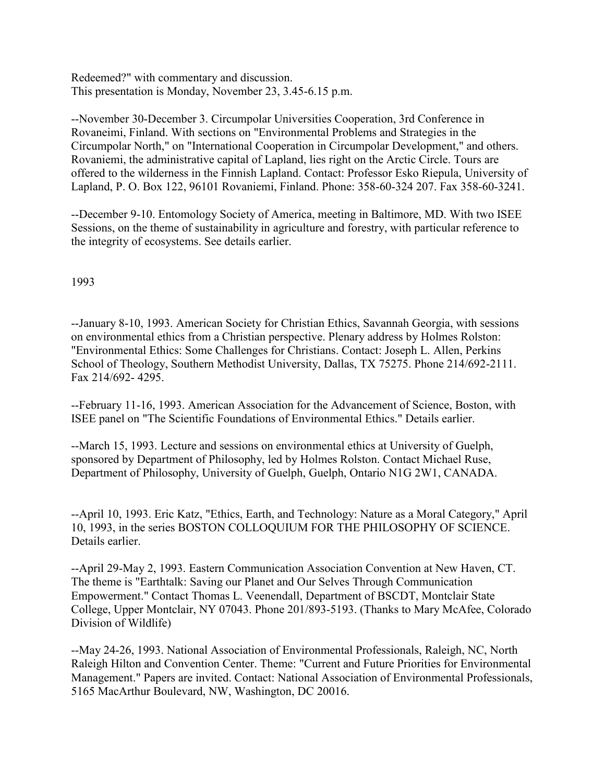Redeemed?" with commentary and discussion. This presentation is Monday, November 23, 3.45-6.15 p.m.

--November 30-December 3. Circumpolar Universities Cooperation, 3rd Conference in Rovaneimi, Finland. With sections on "Environmental Problems and Strategies in the Circumpolar North," on "International Cooperation in Circumpolar Development," and others. Rovaniemi, the administrative capital of Lapland, lies right on the Arctic Circle. Tours are offered to the wilderness in the Finnish Lapland. Contact: Professor Esko Riepula, University of Lapland, P. O. Box 122, 96101 Rovaniemi, Finland. Phone: 358-60-324 207. Fax 358-60-3241.

--December 9-10. Entomology Society of America, meeting in Baltimore, MD. With two ISEE Sessions, on the theme of sustainability in agriculture and forestry, with particular reference to the integrity of ecosystems. See details earlier.

1993

--January 8-10, 1993. American Society for Christian Ethics, Savannah Georgia, with sessions on environmental ethics from a Christian perspective. Plenary address by Holmes Rolston: "Environmental Ethics: Some Challenges for Christians. Contact: Joseph L. Allen, Perkins School of Theology, Southern Methodist University, Dallas, TX 75275. Phone 214/692-2111. Fax 214/692- 4295.

--February 11-16, 1993. American Association for the Advancement of Science, Boston, with ISEE panel on "The Scientific Foundations of Environmental Ethics." Details earlier.

--March 15, 1993. Lecture and sessions on environmental ethics at University of Guelph, sponsored by Department of Philosophy, led by Holmes Rolston. Contact Michael Ruse, Department of Philosophy, University of Guelph, Guelph, Ontario N1G 2W1, CANADA.

--April 10, 1993. Eric Katz, "Ethics, Earth, and Technology: Nature as a Moral Category," April 10, 1993, in the series BOSTON COLLOQUIUM FOR THE PHILOSOPHY OF SCIENCE. Details earlier.

--April 29-May 2, 1993. Eastern Communication Association Convention at New Haven, CT. The theme is "Earthtalk: Saving our Planet and Our Selves Through Communication Empowerment." Contact Thomas L. Veenendall, Department of BSCDT, Montclair State College, Upper Montclair, NY 07043. Phone 201/893-5193. (Thanks to Mary McAfee, Colorado Division of Wildlife)

--May 24-26, 1993. National Association of Environmental Professionals, Raleigh, NC, North Raleigh Hilton and Convention Center. Theme: "Current and Future Priorities for Environmental Management." Papers are invited. Contact: National Association of Environmental Professionals, 5165 MacArthur Boulevard, NW, Washington, DC 20016.